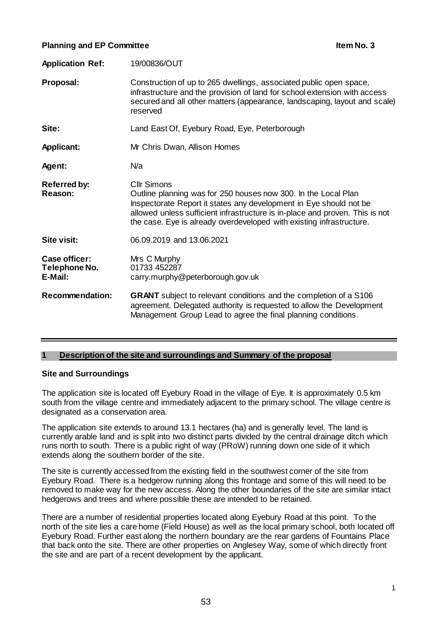### **Planning and EP Committee Item No. 3**

| <b>Application Ref:</b>                   | 19/00836/OUT                                                                                                                                                                                                                                                                                                       |  |  |
|-------------------------------------------|--------------------------------------------------------------------------------------------------------------------------------------------------------------------------------------------------------------------------------------------------------------------------------------------------------------------|--|--|
| Proposal:                                 | Construction of up to 265 dwellings, associated public open space,<br>infrastructure and the provision of land for school extension with access<br>secured and all other matters (appearance, landscaping, layout and scale)<br>reserved                                                                           |  |  |
| Site:                                     | Land East Of, Eyebury Road, Eye, Peterborough                                                                                                                                                                                                                                                                      |  |  |
| <b>Applicant:</b>                         | Mr Chris Dwan, Allison Homes                                                                                                                                                                                                                                                                                       |  |  |
| Agent:                                    | N/a                                                                                                                                                                                                                                                                                                                |  |  |
| <b>Referred by:</b><br>Reason:            | <b>Cllr Simons</b><br>Outline planning was for 250 houses now 300. In the Local Plan<br>Inspectorate Report it states any development in Eye should not be<br>allowed unless sufficient infrastructure is in-place and proven. This is not<br>the case. Eye is already overdeveloped with existing infrastructure. |  |  |
| Site visit:                               | 06.09.2019 and 13.06.2021                                                                                                                                                                                                                                                                                          |  |  |
| Case officer:<br>Telephone No.<br>E-Mail: | Mrs C Murphy<br>01733 452287<br>carry.murphy@peterborough.gov.uk                                                                                                                                                                                                                                                   |  |  |
| <b>Recommendation:</b>                    | <b>GRANT</b> subject to relevant conditions and the completion of a S106<br>agreement. Delegated authority is requested to allow the Development<br>Management Group Lead to agree the final planning conditions.                                                                                                  |  |  |

### **1 Description of the site and surroundings and Summary of the proposal**

#### **Site and Surroundings**

The application site is located off Eyebury Road in the village of Eye. It is approximately 0.5 km south from the village centre and immediately adjacent to the primary school. The village centre is designated as a conservation area.

The application site extends to around 13.1 hectares (ha) and is generally level. The land is currently arable land and is split into two distinct parts divided by the central drainage ditch which runs north to south. There is a public right of way (PRoW) running down one side of it which extends along the southern border of the site.

The site is currently accessed from the existing field in the southwest corner of the site from Eyebury Road. There is a hedgerow running along this frontage and some of this will need to be removed to make way for the new access. Along the other boundaries of the site are similar intact hedgerows and trees and where possible these are intended to be retained.

There are a number of residential properties located along Eyebury Road at this point. To the north of the site lies a care home (Field House) as well as the local primary school, both located off Eyebury Road. Further east along the northern boundary are the rear gardens of Fountains Place that back onto the site. There are other properties on Anglesey Way, some of which directly front the site and are part of a recent development by the applicant.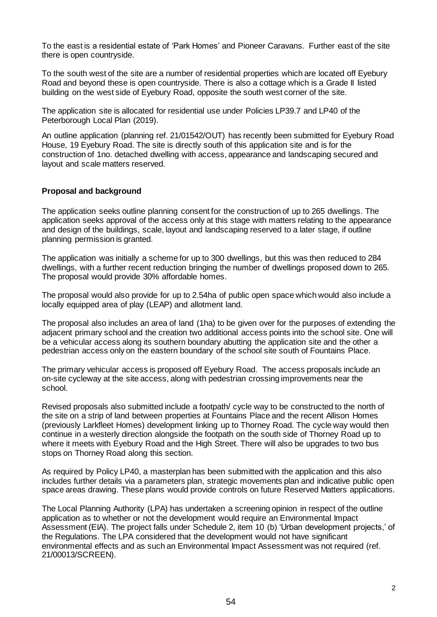To the east is a residential estate of 'Park Homes' and Pioneer Caravans. Further east of the site there is open countryside.

To the south west of the site are a number of residential properties which are located off Eyebury Road and beyond these is open countryside. There is also a cottage which is a Grade II listed building on the west side of Eyebury Road, opposite the south west corner of the site.

The application site is allocated for residential use under Policies LP39.7 and LP40 of the Peterborough Local Plan (2019).

An outline application (planning ref. 21/01542/OUT) has recently been submitted for Eyebury Road House, 19 Eyebury Road. The site is directly south of this application site and is for the construction of 1no. detached dwelling with access, appearance and landscaping secured and layout and scale matters reserved.

### **Proposal and background**

The application seeks outline planning consent for the construction of up to 265 dwellings. The application seeks approval of the access only at this stage with matters relating to the appearance and design of the buildings, scale, layout and landscaping reserved to a later stage, if outline planning permission is granted.

The application was initially a scheme for up to 300 dwellings, but this was then reduced to 284 dwellings, with a further recent reduction bringing the number of dwellings proposed down to 265. The proposal would provide 30% affordable homes.

The proposal would also provide for up to 2.54ha of public open space which would also include a locally equipped area of play (LEAP) and allotment land.

The proposal also includes an area of land (1ha) to be given over for the purposes of extending the adjacent primary school and the creation two additional access points into the school site. One will be a vehicular access along its southern boundary abutting the application site and the other a pedestrian access only on the eastern boundary of the school site south of Fountains Place.

The primary vehicular access is proposed off Eyebury Road. The access proposals include an on-site cycleway at the site access, along with pedestrian crossing improvements near the school.

Revised proposals also submitted include a footpath/ cycle way to be constructed to the north of the site on a strip of land between properties at Fountains Place and the recent Allison Homes (previously Larkfleet Homes) development linking up to Thorney Road. The cycle way would then continue in a westerly direction alongside the footpath on the south side of Thorney Road up to where it meets with Eyebury Road and the High Street. There will also be upgrades to two bus stops on Thorney Road along this section.

As required by Policy LP40, a masterplan has been submitted with the application and this also includes further details via a parameters plan, strategic movements plan and indicative public open space areas drawing. These plans would provide controls on future Reserved Matters applications.

The Local Planning Authority (LPA) has undertaken a screening opinion in respect of the outline application as to whether or not the development would require an Environmental Impact Assessment (EIA). The project falls under Schedule 2, item 10 (b) 'Urban development projects,' of the Regulations. The LPA considered that the development would not have significant environmental effects and as such an Environmental Impact Assessment was not required (ref. 21/00013/SCREEN).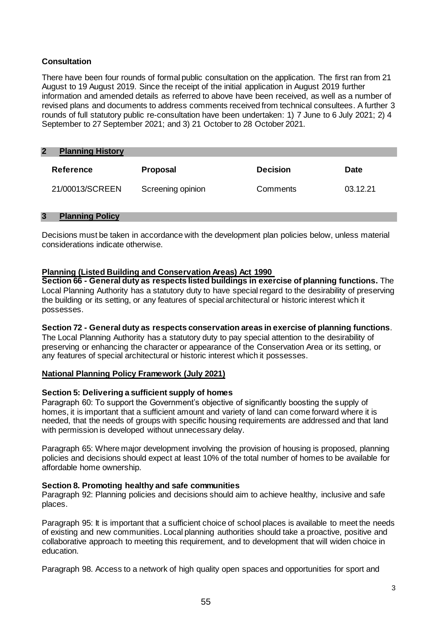# **Consultation**

There have been four rounds of formal public consultation on the application. The first ran from 21 August to 19 August 2019. Since the receipt of the initial application in August 2019 further information and amended details as referred to above have been received, as well as a number of revised plans and documents to address comments received from technical consultees. A further 3 rounds of full statutory public re-consultation have been undertaken: 1) 7 June to 6 July 2021; 2) 4 September to 27 September 2021; and 3) 21 October to 28 October 2021.

| $\mathbf{2}$<br><b>Planning History</b> |                   |                 |             |
|-----------------------------------------|-------------------|-----------------|-------------|
| <b>Reference</b>                        | <b>Proposal</b>   | <b>Decision</b> | <b>Date</b> |
| 21/00013/SCREEN                         | Screening opinion | Comments        | 03.12.21    |

#### **3 Planning Policy**

Decisions must be taken in accordance with the development plan policies below, unless material considerations indicate otherwise.

### **Planning (Listed Building and Conservation Areas) Act 1990**

**Section 66 - General duty as respects listed buildings in exercise of planning functions.** The Local Planning Authority has a statutory duty to have special regard to the desirability of preserving the building or its setting, or any features of special architectural or historic interest which it possesses.

### **Section 72 - General duty as respects conservation areas in exercise of planning functions**.

The Local Planning Authority has a statutory duty to pay special attention to the desirability of preserving or enhancing the character or appearance of the Conservation Area or its setting, or any features of special architectural or historic interest which it possesses.

### **National Planning Policy Framework (July 2021)**

### **Section 5: Delivering a sufficient supply of homes**

Paragraph 60: To support the Government's objective of significantly boosting the supply of homes, it is important that a sufficient amount and variety of land can come forward where it is needed, that the needs of groups with specific housing requirements are addressed and that land with permission is developed without unnecessary delay.

Paragraph 65: Where major development involving the provision of housing is proposed, planning policies and decisions should expect at least 10% of the total number of homes to be available for affordable home ownership.

### **Section 8. Promoting healthy and safe communities**

Paragraph 92: Planning policies and decisions should aim to achieve healthy, inclusive and safe places.

Paragraph 95: It is important that a sufficient choice of school places is available to meet the needs of existing and new communities. Local planning authorities should take a proactive, positive and collaborative approach to meeting this requirement, and to development that will widen choice in education.

Paragraph 98. Access to a network of high quality open spaces and opportunities for sport and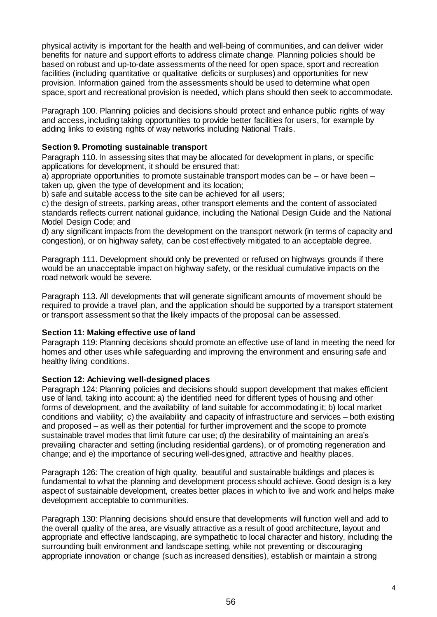physical activity is important for the health and well-being of communities, and can deliver wider benefits for nature and support efforts to address climate change. Planning policies should be based on robust and up-to-date assessments of the need for open space, sport and recreation facilities (including quantitative or qualitative deficits or surpluses) and opportunities for new provision. Information gained from the assessments should be used to determine what open space, sport and recreational provision is needed, which plans should then seek to accommodate.

Paragraph 100. Planning policies and decisions should protect and enhance public rights of way and access, including taking opportunities to provide better facilities for users, for example by adding links to existing rights of way networks including National Trails.

### **Section 9. Promoting sustainable transport**

Paragraph 110. In assessing sites that may be allocated for development in plans, or specific applications for development, it should be ensured that:

a) appropriate opportunities to promote sustainable transport modes can be – or have been – taken up, given the type of development and its location:

b) safe and suitable access to the site can be achieved for all users;

c) the design of streets, parking areas, other transport elements and the content of associated standards reflects current national guidance, including the National Design Guide and the National Model Design Code; and

d) any significant impacts from the development on the transport network (in terms of capacity and congestion), or on highway safety, can be cost effectively mitigated to an acceptable degree.

Paragraph 111. Development should only be prevented or refused on highways grounds if there would be an unacceptable impact on highway safety, or the residual cumulative impacts on the road network would be severe.

Paragraph 113. All developments that will generate significant amounts of movement should be required to provide a travel plan, and the application should be supported by a transport statement or transport assessment so that the likely impacts of the proposal can be assessed.

### **Section 11: Making effective use of land**

Paragraph 119: Planning decisions should promote an effective use of land in meeting the need for homes and other uses while safeguarding and improving the environment and ensuring safe and healthy living conditions.

### **Section 12: Achieving well-designed places**

Paragraph 124: Planning policies and decisions should support development that makes efficient use of land, taking into account: a) the identified need for different types of housing and other forms of development, and the availability of land suitable for accommodating it; b) local market conditions and viability; c) the availability and capacity of infrastructure and services – both existing and proposed – as well as their potential for further improvement and the scope to promote sustainable travel modes that limit future car use; d) the desirability of maintaining an area's prevailing character and setting (including residential gardens), or of promoting regeneration and change; and e) the importance of securing well-designed, attractive and healthy places.

Paragraph 126: The creation of high quality, beautiful and sustainable buildings and places is fundamental to what the planning and development process should achieve. Good design is a key aspect of sustainable development, creates better places in which to live and work and helps make development acceptable to communities.

Paragraph 130: Planning decisions should ensure that developments will function well and add to the overall quality of the area, are visually attractive as a result of good architecture, layout and appropriate and effective landscaping, are sympathetic to local character and history, including the surrounding built environment and landscape setting, while not preventing or discouraging appropriate innovation or change (such as increased densities), establish or maintain a strong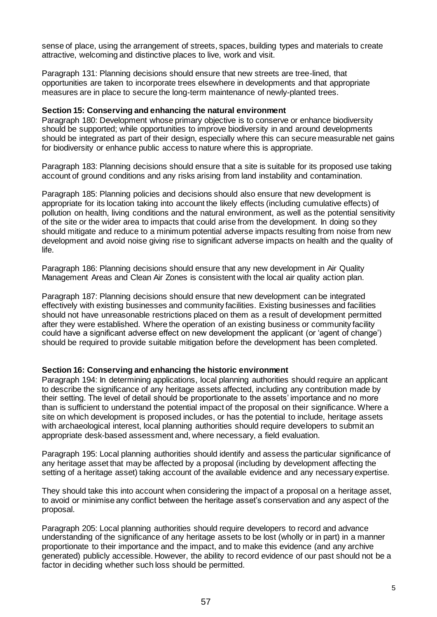sense of place, using the arrangement of streets, spaces, building types and materials to create attractive, welcoming and distinctive places to live, work and visit.

Paragraph 131: Planning decisions should ensure that new streets are tree-lined, that opportunities are taken to incorporate trees elsewhere in developments and that appropriate measures are in place to secure the long-term maintenance of newly-planted trees.

#### **Section 15: Conserving and enhancing the natural environment**

Paragraph 180: Development whose primary objective is to conserve or enhance biodiversity should be supported; while opportunities to improve biodiversity in and around developments should be integrated as part of their design, especially where this can secure measurable net gains for biodiversity or enhance public access to nature where this is appropriate.

Paragraph 183: Planning decisions should ensure that a site is suitable for its proposed use taking account of ground conditions and any risks arising from land instability and contamination.

Paragraph 185: Planning policies and decisions should also ensure that new development is appropriate for its location taking into account the likely effects (including cumulative effects) of pollution on health, living conditions and the natural environment, as well as the potential sensitivity of the site or the wider area to impacts that could arise from the development. In doing so they should mitigate and reduce to a minimum potential adverse impacts resulting from noise from new development and avoid noise giving rise to significant adverse impacts on health and the quality of life.

Paragraph 186: Planning decisions should ensure that any new development in Air Quality Management Areas and Clean Air Zones is consistent with the local air quality action plan.

Paragraph 187: Planning decisions should ensure that new development can be integrated effectively with existing businesses and community facilities. Existing businesses and facilities should not have unreasonable restrictions placed on them as a result of development permitted after they were established. Where the operation of an existing business or community facility could have a significant adverse effect on new development the applicant (or 'agent of change') should be required to provide suitable mitigation before the development has been completed.

#### **Section 16: Conserving and enhancing the historic environment**

Paragraph 194: In determining applications, local planning authorities should require an applicant to describe the significance of any heritage assets affected, including any contribution made by their setting. The level of detail should be proportionate to the assets' importance and no more than is sufficient to understand the potential impact of the proposal on their significance. Where a site on which development is proposed includes, or has the potential to include, heritage assets with archaeological interest, local planning authorities should require developers to submit an appropriate desk-based assessment and, where necessary, a field evaluation.

Paragraph 195: Local planning authorities should identify and assess the particular significance of any heritage asset that may be affected by a proposal (including by development affecting the setting of a heritage asset) taking account of the available evidence and any necessary expertise.

They should take this into account when considering the impact of a proposal on a heritage asset, to avoid or minimise any conflict between the heritage asset's conservation and any aspect of the proposal.

Paragraph 205: Local planning authorities should require developers to record and advance understanding of the significance of any heritage assets to be lost (wholly or in part) in a manner proportionate to their importance and the impact, and to make this evidence (and any archive generated) publicly accessible. However, the ability to record evidence of our past should not be a factor in deciding whether such loss should be permitted.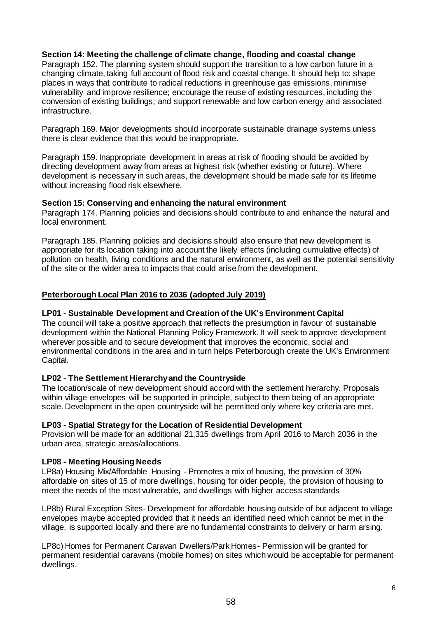## **Section 14: Meeting the challenge of climate change, flooding and coastal change**

Paragraph 152. The planning system should support the transition to a low carbon future in a changing climate, taking full account of flood risk and coastal change. It should help to: shape places in ways that contribute to radical reductions in greenhouse gas emissions, minimise vulnerability and improve resilience; encourage the reuse of existing resources, including the conversion of existing buildings; and support renewable and low carbon energy and associated infrastructure.

Paragraph 169. Major developments should incorporate sustainable drainage systems unless there is clear evidence that this would be inappropriate.

Paragraph 159. Inappropriate development in areas at risk of flooding should be avoided by directing development away from areas at highest risk (whether existing or future). Where development is necessary in such areas, the development should be made safe for its lifetime without increasing flood risk elsewhere.

## **Section 15: Conserving and enhancing the natural environment**

Paragraph 174. Planning policies and decisions should contribute to and enhance the natural and local environment.

Paragraph 185. Planning policies and decisions should also ensure that new development is appropriate for its location taking into account the likely effects (including cumulative effects) of pollution on health, living conditions and the natural environment, as well as the potential sensitivity of the site or the wider area to impacts that could arise from the development.

# **Peterborough Local Plan 2016 to 2036 (adopted July 2019)**

# **LP01 - Sustainable Development and Creation of the UK's Environment Capital**

The council will take a positive approach that reflects the presumption in favour of sustainable development within the National Planning Policy Framework. It will seek to approve development wherever possible and to secure development that improves the economic, social and environmental conditions in the area and in turn helps Peterborough create the UK's Environment Capital.

# **LP02 - The Settlement Hierarchy and the Countryside**

The location/scale of new development should accord with the settlement hierarchy. Proposals within village envelopes will be supported in principle, subject to them being of an appropriate scale. Development in the open countryside will be permitted only where key criteria are met.

### **LP03 - Spatial Strategy for the Location of Residential Development**

Provision will be made for an additional 21,315 dwellings from April 2016 to March 2036 in the urban area, strategic areas/allocations.

# **LP08 - Meeting Housing Needs**

LP8a) Housing Mix/Affordable Housing - Promotes a mix of housing, the provision of 30% affordable on sites of 15 of more dwellings, housing for older people, the provision of housing to meet the needs of the most vulnerable, and dwellings with higher access standards

LP8b) Rural Exception Sites- Development for affordable housing outside of but adjacent to village envelopes maybe accepted provided that it needs an identified need which cannot be met in the village, is supported locally and there are no fundamental constraints to delivery or harm arsing.

LP8c) Homes for Permanent Caravan Dwellers/Park Homes- Permission will be granted for permanent residential caravans (mobile homes) on sites which would be acceptable for permanent dwellings.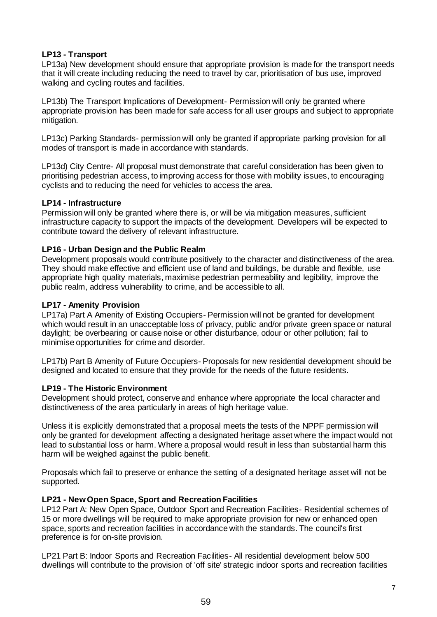## **LP13 - Transport**

LP13a) New development should ensure that appropriate provision is made for the transport needs that it will create including reducing the need to travel by car, prioritisation of bus use, improved walking and cycling routes and facilities.

LP13b) The Transport Implications of Development- Permission will only be granted where appropriate provision has been made for safe access for all user groups and subject to appropriate mitigation.

LP13c) Parking Standards- permission will only be granted if appropriate parking provision for all modes of transport is made in accordance with standards.

LP13d) City Centre- All proposal must demonstrate that careful consideration has been given to prioritising pedestrian access, to improving access for those with mobility issues, to encouraging cyclists and to reducing the need for vehicles to access the area.

## **LP14 - Infrastructure**

Permission will only be granted where there is, or will be via mitigation measures, sufficient infrastructure capacity to support the impacts of the development. Developers will be expected to contribute toward the delivery of relevant infrastructure.

## **LP16 - Urban Design and the Public Realm**

Development proposals would contribute positively to the character and distinctiveness of the area. They should make effective and efficient use of land and buildings, be durable and flexible, use appropriate high quality materials, maximise pedestrian permeability and legibility, improve the public realm, address vulnerability to crime, and be accessible to all.

## **LP17 - Amenity Provision**

LP17a) Part A Amenity of Existing Occupiers- Permission will not be granted for development which would result in an unacceptable loss of privacy, public and/or private green space or natural daylight; be overbearing or cause noise or other disturbance, odour or other pollution; fail to minimise opportunities for crime and disorder.

LP17b) Part B Amenity of Future Occupiers- Proposals for new residential development should be designed and located to ensure that they provide for the needs of the future residents.

### **LP19 - The Historic Environment**

Development should protect, conserve and enhance where appropriate the local character and distinctiveness of the area particularly in areas of high heritage value.

Unless it is explicitly demonstrated that a proposal meets the tests of the NPPF permission will only be granted for development affecting a designated heritage asset where the impact would not lead to substantial loss or harm. Where a proposal would result in less than substantial harm this harm will be weighed against the public benefit.

Proposals which fail to preserve or enhance the setting of a designated heritage asset will not be supported.

# **LP21 - New Open Space, Sport and Recreation Facilities**

LP12 Part A: New Open Space, Outdoor Sport and Recreation Facilities- Residential schemes of 15 or more dwellings will be required to make appropriate provision for new or enhanced open space, sports and recreation facilities in accordance with the standards. The council's first preference is for on-site provision.

LP21 Part B: Indoor Sports and Recreation Facilities- All residential development below 500 dwellings will contribute to the provision of 'off site' strategic indoor sports and recreation facilities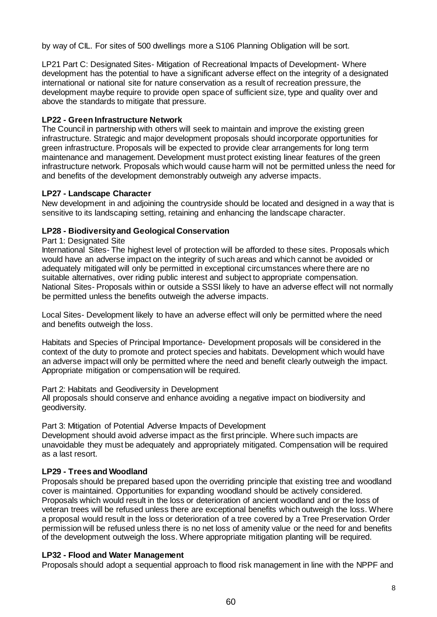by way of CIL. For sites of 500 dwellings more a S106 Planning Obligation will be sort.

LP21 Part C: Designated Sites- Mitigation of Recreational Impacts of Development- Where development has the potential to have a significant adverse effect on the integrity of a designated international or national site for nature conservation as a result of recreation pressure, the development maybe require to provide open space of sufficient size, type and quality over and above the standards to mitigate that pressure.

# **LP22 - Green Infrastructure Network**

The Council in partnership with others will seek to maintain and improve the existing green infrastructure. Strategic and major development proposals should incorporate opportunities for green infrastructure. Proposals will be expected to provide clear arrangements for long term maintenance and management. Development must protect existing linear features of the green infrastructure network. Proposals which would cause harm will not be permitted unless the need for and benefits of the development demonstrably outweigh any adverse impacts.

## **LP27 - Landscape Character**

New development in and adjoining the countryside should be located and designed in a way that is sensitive to its landscaping setting, retaining and enhancing the landscape character.

# **LP28 - Biodiversity and Geological Conservation**

### Part 1: Designated Site

International Sites- The highest level of protection will be afforded to these sites. Proposals which would have an adverse impact on the integrity of such areas and which cannot be avoided or adequately mitigated will only be permitted in exceptional circumstances where there are no suitable alternatives, over riding public interest and subject to appropriate compensation. National Sites- Proposals within or outside a SSSI likely to have an adverse effect will not normally be permitted unless the benefits outweigh the adverse impacts.

Local Sites- Development likely to have an adverse effect will only be permitted where the need and benefits outweigh the loss.

Habitats and Species of Principal Importance- Development proposals will be considered in the context of the duty to promote and protect species and habitats. Development which would have an adverse impact will only be permitted where the need and benefit clearly outweigh the impact. Appropriate mitigation or compensation will be required.

Part 2: Habitats and Geodiversity in Development

All proposals should conserve and enhance avoiding a negative impact on biodiversity and geodiversity.

Part 3: Mitigation of Potential Adverse Impacts of Development

Development should avoid adverse impact as the first principle. Where such impacts are unavoidable they must be adequately and appropriately mitigated. Compensation will be required as a last resort.

# **LP29 - Trees and Woodland**

Proposals should be prepared based upon the overriding principle that existing tree and woodland cover is maintained. Opportunities for expanding woodland should be actively considered. Proposals which would result in the loss or deterioration of ancient woodland and or the loss of veteran trees will be refused unless there are exceptional benefits which outweigh the loss. Where a proposal would result in the loss or deterioration of a tree covered by a Tree Preservation Order permission will be refused unless there is no net loss of amenity value or the need for and benefits of the development outweigh the loss. Where appropriate mitigation planting will be required.

### **LP32 - Flood and Water Management**

Proposals should adopt a sequential approach to flood risk management in line with the NPPF and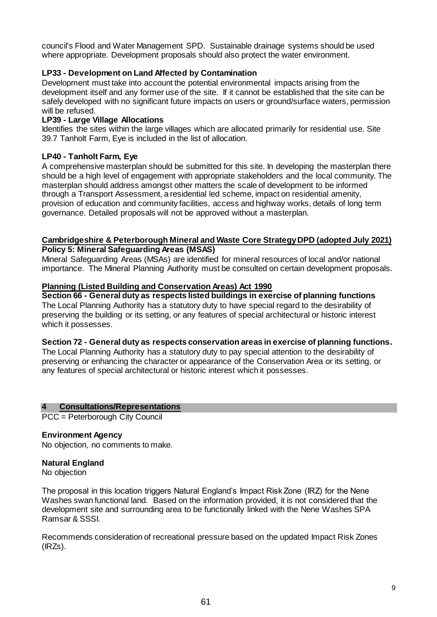council's Flood and Water Management SPD. Sustainable drainage systems should be used where appropriate. Development proposals should also protect the water environment.

## **LP33 - Development on Land Affected by Contamination**

Development must take into account the potential environmental impacts arising from the development itself and any former use of the site. If it cannot be established that the site can be safely developed with no significant future impacts on users or ground/surface waters, permission will be refused.

## **LP39 - Large Village Allocations**

Identifies the sites within the large villages which are allocated primarily for residential use. Site 39.7 Tanholt Farm, Eye is included in the list of allocation.

## **LP40 - Tanholt Farm, Eye**

A comprehensive masterplan should be submitted for this site. In developing the masterplan there should be a high level of engagement with appropriate stakeholders and the local community. The masterplan should address amongst other matters the scale of development to be informed through a Transport Assessment, a residential led scheme, impact on residential amenity, provision of education and community facilities, access and highway works, details of long term governance. Detailed proposals will not be approved without a masterplan.

### **Cambridgeshire & Peterborough Mineral and Waste Core Strategy DPD (adopted July 2021) Policy 5: Mineral Safeguarding Areas (MSAS)**

Mineral Safeguarding Areas (MSAs) are identified for mineral resources of local and/or national importance. The Mineral Planning Authority must be consulted on certain development proposals.

## **Planning (Listed Building and Conservation Areas) Act 1990**

**Section 66 - General duty as respects listed buildings in exercise of planning functions**  The Local Planning Authority has a statutory duty to have special regard to the desirability of preserving the building or its setting, or any features of special architectural or historic interest which it possesses.

### **Section 72 - General duty as respects conservation areas in exercise of planning functions.**

The Local Planning Authority has a statutory duty to pay special attention to the desirability of preserving or enhancing the character or appearance of the Conservation Area or its setting, or any features of special architectural or historic interest which it possesses.

### **4 Consultations/Representations**

PCC = Peterborough City Council

### **Environment Agency**

No objection, no comments to make.

### **Natural England**

No objection

The proposal in this location triggers Natural England's Impact Risk Zone (IRZ) for the Nene Washes swan functional land. Based on the information provided, it is not considered that the development site and surrounding area to be functionally linked with the Nene Washes SPA Ramsar & SSSI.

Recommends consideration of recreational pressure based on the updated Impact Risk Zones (IRZs).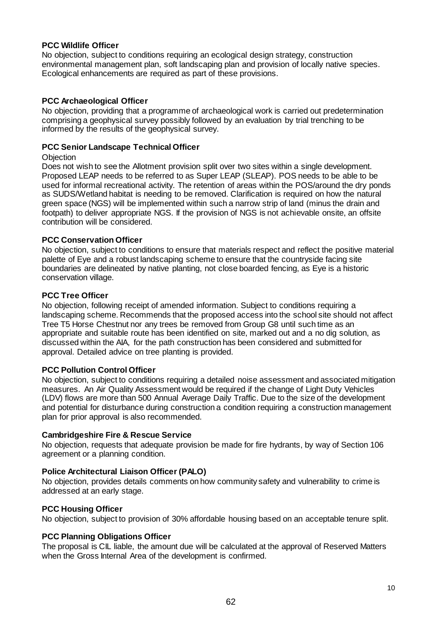### **PCC Wildlife Officer**

No objection, subject to conditions requiring an ecological design strategy, construction environmental management plan, soft landscaping plan and provision of locally native species. Ecological enhancements are required as part of these provisions.

# **PCC Archaeological Officer**

No objection, providing that a programme of archaeological work is carried out predetermination comprising a geophysical survey possibly followed by an evaluation by trial trenching to be informed by the results of the geophysical survey.

## **PCC Senior Landscape Technical Officer**

#### **Objection**

Does not wish to see the Allotment provision split over two sites within a single development. Proposed LEAP needs to be referred to as Super LEAP (SLEAP). POS needs to be able to be used for informal recreational activity. The retention of areas within the POS/around the dry ponds as SUDS/Wetland habitat is needing to be removed. Clarification is required on how the natural green space (NGS) will be implemented within such a narrow strip of land (minus the drain and footpath) to deliver appropriate NGS. If the provision of NGS is not achievable onsite, an offsite contribution will be considered.

## **PCC Conservation Officer**

No objection, subject to conditions to ensure that materials respect and reflect the positive material palette of Eye and a robust landscaping scheme to ensure that the countryside facing site boundaries are delineated by native planting, not close boarded fencing, as Eye is a historic conservation village.

### **PCC Tree Officer**

No objection, following receipt of amended information. Subject to conditions requiring a landscaping scheme. Recommends that the proposed access into the school site should not affect Tree T5 Horse Chestnut nor any trees be removed from Group G8 until such time as an appropriate and suitable route has been identified on site, marked out and a no dig solution, as discussed within the AIA, for the path construction has been considered and submitted for approval. Detailed advice on tree planting is provided.

### **PCC Pollution Control Officer**

No objection, subject to conditions requiring a detailed noise assessment and associated mitigation measures. An Air Quality Assessment would be required if the change of Light Duty Vehicles (LDV) flows are more than 500 Annual Average Daily Traffic. Due to the size of the development and potential for disturbance during construction a condition requiring a construction management plan for prior approval is also recommended.

### **Cambridgeshire Fire & Rescue Service**

No objection, requests that adequate provision be made for fire hydrants, by way of Section 106 agreement or a planning condition.

### **Police Architectural Liaison Officer (PALO)**

No objection, provides details comments on how community safety and vulnerability to crime is addressed at an early stage.

### **PCC Housing Officer**

No objection, subject to provision of 30% affordable housing based on an acceptable tenure split.

### **PCC Planning Obligations Officer**

The proposal is CIL liable, the amount due will be calculated at the approval of Reserved Matters when the Gross Internal Area of the development is confirmed.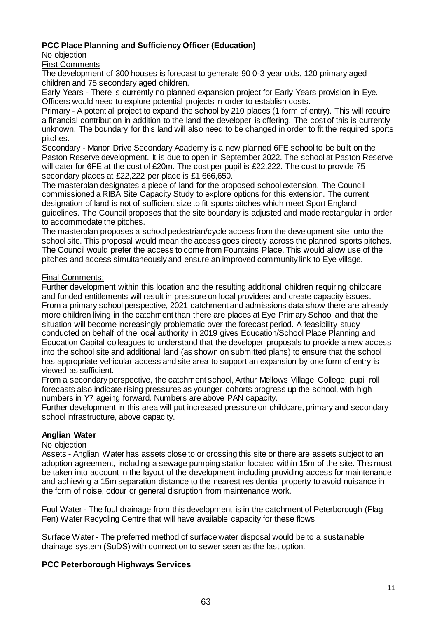# **PCC Place Planning and Sufficiency Officer (Education)**

No objection

First Comments

The development of 300 houses is forecast to generate 90 0-3 year olds, 120 primary aged children and 75 secondary aged children.

Early Years - There is currently no planned expansion project for Early Years provision in Eye. Officers would need to explore potential projects in order to establish costs.

Primary - A potential project to expand the school by 210 places (1 form of entry). This will require a financial contribution in addition to the land the developer is offering. The cost of this is currently unknown. The boundary for this land will also need to be changed in order to fit the required sports pitches.

Secondary - Manor Drive Secondary Academy is a new planned 6FE school to be built on the Paston Reserve development. It is due to open in September 2022. The school at Paston Reserve will cater for 6FE at the cost of £20m. The cost per pupil is £22,222. The cost to provide 75 secondary places at £22,222 per place is £1,666,650.

The masterplan designates a piece of land for the proposed school extension. The Council commissioned a RIBA Site Capacity Study to explore options for this extension. The current designation of land is not of sufficient size to fit sports pitches which meet Sport England guidelines. The Council proposes that the site boundary is adjusted and made rectangular in order to accommodate the pitches.

The masterplan proposes a school pedestrian/cycle access from the development site onto the school site. This proposal would mean the access goes directly across the planned sports pitches. The Council would prefer the access to come from Fountains Place. This would allow use of the pitches and access simultaneously and ensure an improved community link to Eye village.

## Final Comments:

Further development within this location and the resulting additional children requiring childcare and funded entitlements will result in pressure on local providers and create capacity issues. From a primary school perspective, 2021 catchment and admissions data show there are already more children living in the catchment than there are places at Eye Primary School and that the situation will become increasingly problematic over the forecast period. A feasibility study conducted on behalf of the local authority in 2019 gives Education/School Place Planning and Education Capital colleagues to understand that the developer proposals to provide a new access into the school site and additional land (as shown on submitted plans) to ensure that the school has appropriate vehicular access and site area to support an expansion by one form of entry is viewed as sufficient.

From a secondary perspective, the catchment school, Arthur Mellows Village College, pupil roll forecasts also indicate rising pressures as younger cohorts progress up the school, with high numbers in Y7 ageing forward. Numbers are above PAN capacity.

Further development in this area will put increased pressure on childcare, primary and secondary school infrastructure, above capacity.

### **Anglian Water**

### No objection

Assets - Anglian Water has assets close to or crossing this site or there are assets subject to an adoption agreement, including a sewage pumping station located within 15m of the site. This must be taken into account in the layout of the development including providing access for maintenance and achieving a 15m separation distance to the nearest residential property to avoid nuisance in the form of noise, odour or general disruption from maintenance work.

Foul Water - The foul drainage from this development is in the catchment of Peterborough (Flag Fen) Water Recycling Centre that will have available capacity for these flows

Surface Water - The preferred method of surface water disposal would be to a sustainable drainage system (SuDS) with connection to sewer seen as the last option.

### **PCC Peterborough Highways Services**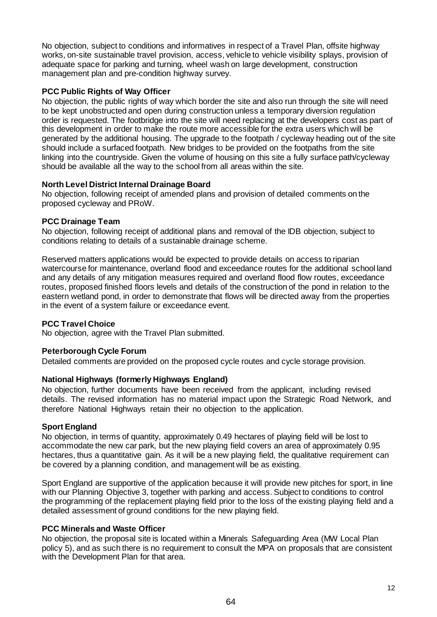No objection, subject to conditions and informatives in respect of a Travel Plan, offsite highway works, on-site sustainable travel provision, access, vehicle to vehicle visibility splays, provision of adequate space for parking and turning, wheel wash on large development, construction management plan and pre-condition highway survey.

# **PCC Public Rights of Way Officer**

No objection, the public rights of way which border the site and also run through the site will need to be kept unobstructed and open during construction unless a temporary diversion regulation order is requested. The footbridge into the site will need replacing at the developers cost as part of this development in order to make the route more accessible for the extra users which will be generated by the additional housing. The upgrade to the footpath / cycleway heading out of the site should include a surfaced footpath. New bridges to be provided on the footpaths from the site linking into the countryside. Given the volume of housing on this site a fully surface path/cycleway should be available all the way to the school from all areas within the site.

## **North Level District Internal Drainage Board**

No objection, following receipt of amended plans and provision of detailed comments on the proposed cycleway and PRoW.

## **PCC Drainage Team**

No objection, following receipt of additional plans and removal of the IDB objection, subject to conditions relating to details of a sustainable drainage scheme.

Reserved matters applications would be expected to provide details on access to riparian watercourse for maintenance, overland flood and exceedance routes for the additional school land and any details of any mitigation measures required and overland flood flow routes, exceedance routes, proposed finished floors levels and details of the construction of the pond in relation to the eastern wetland pond, in order to demonstrate that flows will be directed away from the properties in the event of a system failure or exceedance event.

# **PCC Travel Choice**

No objection, agree with the Travel Plan submitted.

### **Peterborough Cycle Forum**

Detailed comments are provided on the proposed cycle routes and cycle storage provision.

### **National Highways (formerly Highways England)**

No objection, further documents have been received from the applicant, including revised details. The revised information has no material impact upon the Strategic Road Network, and therefore National Highways retain their no objection to the application.

### **Sport England**

No objection, in terms of quantity, approximately 0.49 hectares of playing field will be lost to accommodate the new car park, but the new playing field covers an area of approximately 0.95 hectares, thus a quantitative gain. As it will be a new playing field, the qualitative requirement can be covered by a planning condition, and management will be as existing.

Sport England are supportive of the application because it will provide new pitches for sport, in line with our Planning Objective 3, together with parking and access. Subject to conditions to control the programming of the replacement playing field prior to the loss of the existing playing field and a detailed assessment of ground conditions for the new playing field.

### **PCC Minerals and Waste Officer**

No objection, the proposal site is located within a Minerals Safeguarding Area (MW Local Plan policy 5), and as such there is no requirement to consult the MPA on proposals that are consistent with the Development Plan for that area.

12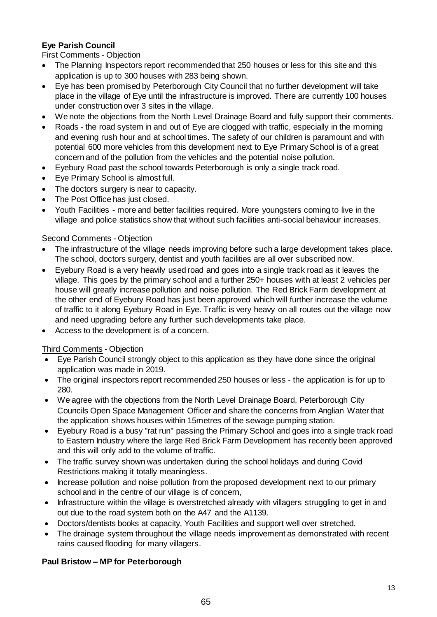# **Eye Parish Council**

# First Comments - Objection

- The Planning Inspectors report recommended that 250 houses or less for this site and this application is up to 300 houses with 283 being shown.
- Eye has been promised by Peterborough City Council that no further development will take place in the village of Eye until the infrastructure is improved. There are currently 100 houses under construction over 3 sites in the village.
- We note the objections from the North Level Drainage Board and fully support their comments.
- Roads the road system in and out of Eye are clogged with traffic, especially in the morning and evening rush hour and at school times. The safety of our children is paramount and with potential 600 more vehicles from this development next to Eye Primary School is of a great concern and of the pollution from the vehicles and the potential noise pollution.
- Eyebury Road past the school towards Peterborough is only a single track road.
- Eye Primary School is almost full.
- The doctors surgery is near to capacity.
- The Post Office has just closed.
- Youth Facilities more and better facilities required. More youngsters coming to live in the village and police statistics show that without such facilities anti-social behaviour increases.

## Second Comments - Objection

- The infrastructure of the village needs improving before such a large development takes place. The school, doctors surgery, dentist and youth facilities are all over subscribed now.
- Eyebury Road is a very heavily used road and goes into a single track road as it leaves the village. This goes by the primary school and a further 250+ houses with at least 2 vehicles per house will greatly increase pollution and noise pollution. The Red Brick Farm development at the other end of Eyebury Road has just been approved which will further increase the volume of traffic to it along Eyebury Road in Eye. Traffic is very heavy on all routes out the village now and need upgrading before any further such developments take place.
- Access to the development is of a concern.

# Third Comments - Objection

- Eye Parish Council strongly object to this application as they have done since the original application was made in 2019.
- The original inspectors report recommended 250 houses or less the application is for up to 280.
- We agree with the objections from the North Level Drainage Board, Peterborough City Councils Open Space Management Officer and share the concerns from Anglian Water that the application shows houses within 15metres of the sewage pumping station.
- Eyebury Road is a busy "rat run" passing the Primary School and goes into a single track road to Eastern Industry where the large Red Brick Farm Development has recently been approved and this will only add to the volume of traffic.
- The traffic survey shown was undertaken during the school holidays and during Covid Restrictions making it totally meaningless.
- Increase pollution and noise pollution from the proposed development next to our primary school and in the centre of our village is of concern,
- Infrastructure within the village is overstretched already with villagers struggling to get in and out due to the road system both on the A47 and the A1139.
- Doctors/dentists books at capacity, Youth Facilities and support well over stretched.
- The drainage system throughout the village needs improvement as demonstrated with recent rains caused flooding for many villagers.

# **Paul Bristow – MP for Peterborough**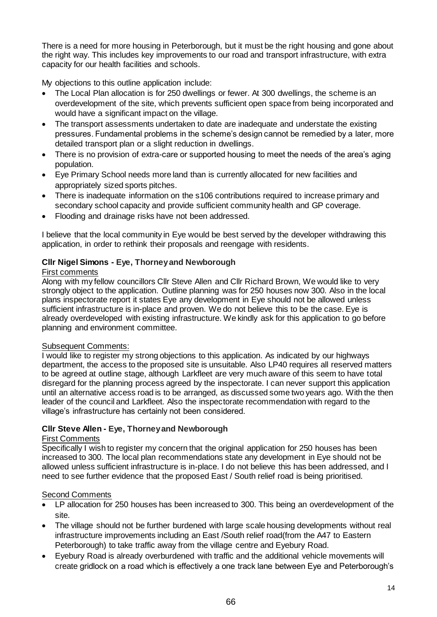There is a need for more housing in Peterborough, but it must be the right housing and gone about the right way. This includes key improvements to our road and transport infrastructure, with extra capacity for our health facilities and schools.

My objections to this outline application include:

- The Local Plan allocation is for 250 dwellings or fewer. At 300 dwellings, the scheme is an overdevelopment of the site, which prevents sufficient open space from being incorporated and would have a significant impact on the village.
- The transport assessments undertaken to date are inadequate and understate the existing pressures. Fundamental problems in the scheme's design cannot be remedied by a later, more detailed transport plan or a slight reduction in dwellings.
- There is no provision of extra-care or supported housing to meet the needs of the area's aging population.
- Eye Primary School needs more land than is currently allocated for new facilities and appropriately sized sports pitches.
- There is inadequate information on the s106 contributions required to increase primary and secondary school capacity and provide sufficient community health and GP coverage.
- Flooding and drainage risks have not been addressed.

I believe that the local community in Eye would be best served by the developer withdrawing this application, in order to rethink their proposals and reengage with residents.

# **Cllr Nigel Simons - Eye, Thorney and Newborough**

### First comments

Along with my fellow councillors Cllr Steve Allen and Cllr Richard Brown, We would like to very strongly object to the application. Outline planning was for 250 houses now 300. Also in the local plans inspectorate report it states Eye any development in Eye should not be allowed unless sufficient infrastructure is in-place and proven. We do not believe this to be the case. Eye is already overdeveloped with existing infrastructure. We kindly ask for this application to go before planning and environment committee.

# Subsequent Comments:

I would like to register my strong objections to this application. As indicated by our highways department, the access to the proposed site is unsuitable. Also LP40 requires all reserved matters to be agreed at outline stage, although Larkfleet are very much aware of this seem to have total disregard for the planning process agreed by the inspectorate. I can never support this application until an alternative access road is to be arranged, as discussed some two years ago. With the then leader of the council and Larkfleet. Also the inspectorate recommendation with regard to the village's infrastructure has certainly not been considered.

## **Cllr Steve Allen - Eye, Thorney and Newborough**

### First Comments

Specifically I wish to register my concern that the original application for 250 houses has been increased to 300. The local plan recommendations state any development in Eye should not be allowed unless sufficient infrastructure is in-place. I do not believe this has been addressed, and I need to see further evidence that the proposed East / South relief road is being prioritised.

### Second Comments

- LP allocation for 250 houses has been increased to 300. This being an overdevelopment of the site.
- The village should not be further burdened with large scale housing developments without real infrastructure improvements including an East /South relief road(from the A47 to Eastern Peterborough) to take traffic away from the village centre and Eyebury Road.
- Eyebury Road is already overburdened with traffic and the additional vehicle movements will create gridlock on a road which is effectively a one track lane between Eye and Peterborough's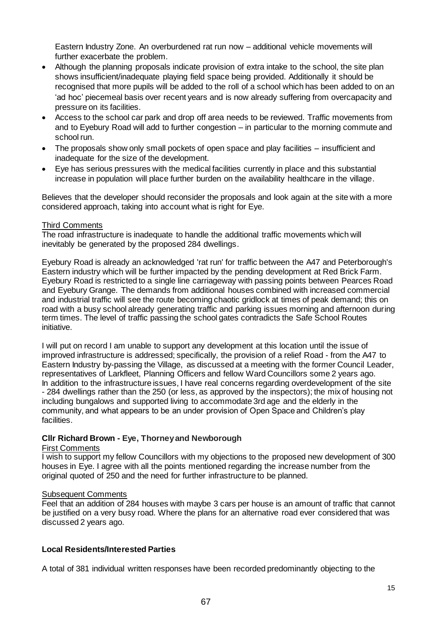Eastern Industry Zone. An overburdened rat run now – additional vehicle movements will further exacerbate the problem.

- Although the planning proposals indicate provision of extra intake to the school, the site plan shows insufficient/inadequate playing field space being provided. Additionally it should be recognised that more pupils will be added to the roll of a school which has been added to on an 'ad hoc' piecemeal basis over recent years and is now already suffering from overcapacity and pressure on its facilities.
- Access to the school car park and drop off area needs to be reviewed. Traffic movements from and to Eyebury Road will add to further congestion – in particular to the morning commute and school run.
- The proposals show only small pockets of open space and play facilities insufficient and inadequate for the size of the development.
- Eye has serious pressures with the medical facilities currently in place and this substantial increase in population will place further burden on the availability healthcare in the village.

Believes that the developer should reconsider the proposals and look again at the site with a more considered approach, taking into account what is right for Eye.

### Third Comments

The road infrastructure is inadequate to handle the additional traffic movements which will inevitably be generated by the proposed 284 dwellings.

Eyebury Road is already an acknowledged 'rat run' for traffic between the A47 and Peterborough's Eastern industry which will be further impacted by the pending development at Red Brick Farm. Eyebury Road is restricted to a single line carriageway with passing points between Pearces Road and Eyebury Grange. The demands from additional houses combined with increased commercial and industrial traffic will see the route becoming chaotic gridlock at times of peak demand; this on road with a busy school already generating traffic and parking issues morning and afternoon during term times. The level of traffic passing the school gates contradicts the Safe School Routes initiative.

I will put on record I am unable to support any development at this location until the issue of improved infrastructure is addressed; specifically, the provision of a relief Road - from the A47 to Eastern Industry by-passing the Village, as discussed at a meeting with the former Council Leader, representatives of Larkfleet, Planning Officers and fellow Ward Councillors some 2 years ago. In addition to the infrastructure issues, I have real concerns regarding overdevelopment of the site - 284 dwellings rather than the 250 (or less, as approved by the inspectors); the mix of housing not including bungalows and supported living to accommodate 3rd age and the elderly in the community, and what appears to be an under provision of Open Space and Children's play facilities.

### **Cllr Richard Brown - Eye, Thorney and Newborough**

#### First Comments

I wish to support my fellow Councillors with my objections to the proposed new development of 300 houses in Eye. I agree with all the points mentioned regarding the increase number from the original quoted of 250 and the need for further infrastructure to be planned.

#### Subsequent Comments

Feel that an addition of 284 houses with maybe 3 cars per house is an amount of traffic that cannot be justified on a very busy road. Where the plans for an alternative road ever considered that was discussed 2 years ago.

#### **Local Residents/Interested Parties**

A total of 381 individual written responses have been recorded predominantly objecting to the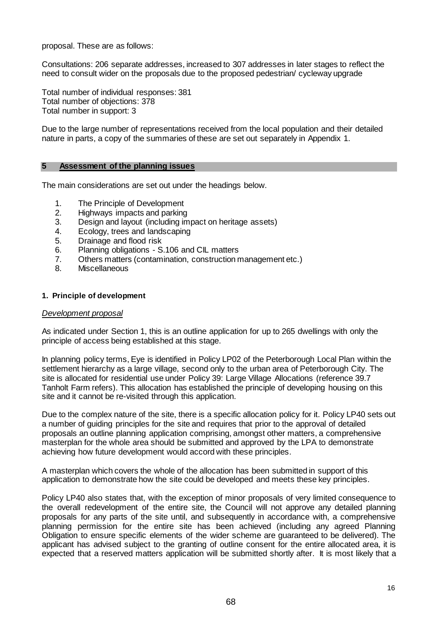proposal. These are as follows:

Consultations: 206 separate addresses, increased to 307 addresses in later stages to reflect the need to consult wider on the proposals due to the proposed pedestrian/ cycleway upgrade

Total number of individual responses: 381 Total number of objections: 378 Total number in support: 3

Due to the large number of representations received from the local population and their detailed nature in parts, a copy of the summaries of these are set out separately in Appendix 1.

#### **5 Assessment of the planning issues**

The main considerations are set out under the headings below.

- 1. The Principle of Development
- 2. Highways impacts and parking<br>3. Design and layout (including im
- Design and layout (including impact on heritage assets)
- 4. Ecology, trees and landscaping
- 5. Drainage and flood risk
- 6. Planning obligations S.106 and CIL matters
- 7. Others matters (contamination, construction management etc.)
- **Miscellaneous**

#### **1. Principle of development**

#### *Development proposal*

As indicated under Section 1, this is an outline application for up to 265 dwellings with only the principle of access being established at this stage.

In planning policy terms, Eye is identified in Policy LP02 of the Peterborough Local Plan within the settlement hierarchy as a large village, second only to the urban area of Peterborough City. The site is allocated for residential use under Policy 39: Large Village Allocations (reference 39.7 Tanholt Farm refers). This allocation has established the principle of developing housing on this site and it cannot be re-visited through this application.

Due to the complex nature of the site, there is a specific allocation policy for it. Policy LP40 sets out a number of guiding principles for the site and requires that prior to the approval of detailed proposals an outline planning application comprising, amongst other matters, a comprehensive masterplan for the whole area should be submitted and approved by the LPA to demonstrate achieving how future development would accord with these principles.

A masterplan which covers the whole of the allocation has been submitted in support of this application to demonstrate how the site could be developed and meets these key principles.

Policy LP40 also states that, with the exception of minor proposals of very limited consequence to the overall redevelopment of the entire site, the Council will not approve any detailed planning proposals for any parts of the site until, and subsequently in accordance with, a comprehensive planning permission for the entire site has been achieved (including any agreed Planning Obligation to ensure specific elements of the wider scheme are guaranteed to be delivered). The applicant has advised subject to the granting of outline consent for the entire allocated area, it is expected that a reserved matters application will be submitted shortly after. It is most likely that a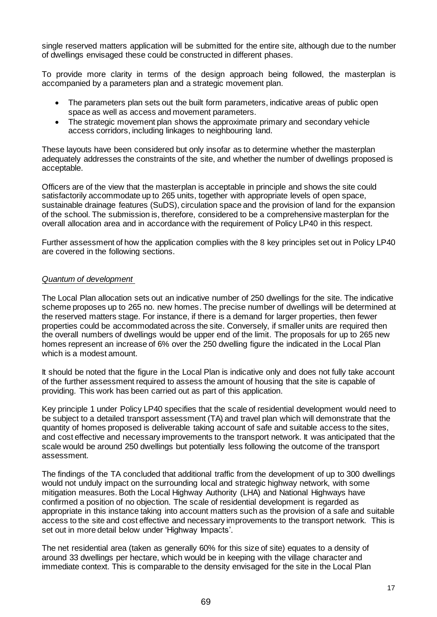single reserved matters application will be submitted for the entire site, although due to the number of dwellings envisaged these could be constructed in different phases.

To provide more clarity in terms of the design approach being followed, the masterplan is accompanied by a parameters plan and a strategic movement plan.

- The parameters plan sets out the built form parameters, indicative areas of public open space as well as access and movement parameters.
- The strategic movement plan shows the approximate primary and secondary vehicle access corridors, including linkages to neighbouring land.

These layouts have been considered but only insofar as to determine whether the masterplan adequately addresses the constraints of the site, and whether the number of dwellings proposed is acceptable.

Officers are of the view that the masterplan is acceptable in principle and shows the site could satisfactorily accommodate up to 265 units, together with appropriate levels of open space, sustainable drainage features (SuDS), circulation space and the provision of land for the expansion of the school. The submission is, therefore, considered to be a comprehensive masterplan for the overall allocation area and in accordance with the requirement of Policy LP40 in this respect.

Further assessment of how the application complies with the 8 key principles set out in Policy LP40 are covered in the following sections.

### *Quantum of development*

The Local Plan allocation sets out an indicative number of 250 dwellings for the site. The indicative scheme proposes up to 265 no. new homes. The precise number of dwellings will be determined at the reserved matters stage. For instance, if there is a demand for larger properties, then fewer properties could be accommodated across the site. Conversely, if smaller units are required then the overall numbers of dwellings would be upper end of the limit. The proposals for up to 265 new homes represent an increase of 6% over the 250 dwelling figure the indicated in the Local Plan which is a modest amount.

It should be noted that the figure in the Local Plan is indicative only and does not fully take account of the further assessment required to assess the amount of housing that the site is capable of providing. This work has been carried out as part of this application.

Key principle 1 under Policy LP40 specifies that the scale of residential development would need to be subject to a detailed transport assessment (TA) and travel plan which will demonstrate that the quantity of homes proposed is deliverable taking account of safe and suitable access to the sites, and cost effective and necessary improvements to the transport network. It was anticipated that the scale would be around 250 dwellings but potentially less following the outcome of the transport assessment.

The findings of the TA concluded that additional traffic from the development of up to 300 dwellings would not unduly impact on the surrounding local and strategic highway network, with some mitigation measures. Both the Local Highway Authority (LHA) and National Highways have confirmed a position of no objection. The scale of residential development is regarded as appropriate in this instance taking into account matters such as the provision of a safe and suitable access to the site and cost effective and necessary improvements to the transport network. This is set out in more detail below under 'Highway Impacts'.

The net residential area (taken as generally 60% for this size of site) equates to a density of around 33 dwellings per hectare, which would be in keeping with the village character and immediate context. This is comparable to the density envisaged for the site in the Local Plan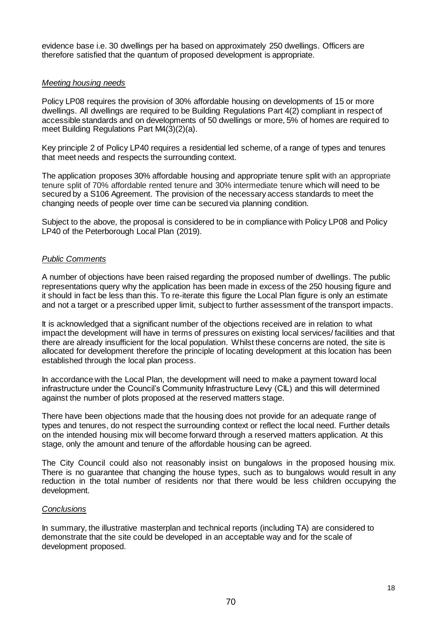evidence base i.e. 30 dwellings per ha based on approximately 250 dwellings. Officers are therefore satisfied that the quantum of proposed development is appropriate.

### *Meeting housing needs*

Policy LP08 requires the provision of 30% affordable housing on developments of 15 or more dwellings. All dwellings are required to be Building Regulations Part 4(2) compliant in respect of accessible standards and on developments of 50 dwellings or more, 5% of homes are required to meet Building Regulations Part M4(3)(2)(a).

Key principle 2 of Policy LP40 requires a residential led scheme, of a range of types and tenures that meet needs and respects the surrounding context.

The application proposes 30% affordable housing and appropriate tenure split with an appropriate tenure split of 70% affordable rented tenure and 30% intermediate tenure which will need to be secured by a S106 Agreement. The provision of the necessary access standards to meet the changing needs of people over time can be secured via planning condition.

Subject to the above, the proposal is considered to be in compliance with Policy LP08 and Policy LP40 of the Peterborough Local Plan (2019).

#### *Public Comments*

A number of objections have been raised regarding the proposed number of dwellings. The public representations query why the application has been made in excess of the 250 housing figure and it should in fact be less than this. To re-iterate this figure the Local Plan figure is only an estimate and not a target or a prescribed upper limit, subject to further assessment of the transport impacts.

It is acknowledged that a significant number of the objections received are in relation to what impact the development will have in terms of pressures on existing local services/ facilities and that there are already insufficient for the local population. Whilst these concerns are noted, the site is allocated for development therefore the principle of locating development at this location has been established through the local plan process.

In accordance with the Local Plan, the development will need to make a payment toward local infrastructure under the Council's Community Infrastructure Levy (CIL) and this will determined against the number of plots proposed at the reserved matters stage.

There have been objections made that the housing does not provide for an adequate range of types and tenures, do not respect the surrounding context or reflect the local need. Further details on the intended housing mix will become forward through a reserved matters application. At this stage, only the amount and tenure of the affordable housing can be agreed.

The City Council could also not reasonably insist on bungalows in the proposed housing mix. There is no guarantee that changing the house types, such as to bungalows would result in any reduction in the total number of residents nor that there would be less children occupying the development.

#### *Conclusions*

In summary, the illustrative masterplan and technical reports (including TA) are considered to demonstrate that the site could be developed in an acceptable way and for the scale of development proposed.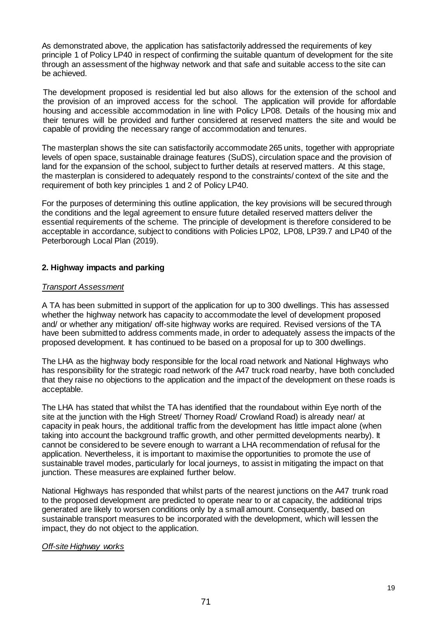As demonstrated above, the application has satisfactorily addressed the requirements of key principle 1 of Policy LP40 in respect of confirming the suitable quantum of development for the site through an assessment of the highway network and that safe and suitable access to the site can be achieved.

The development proposed is residential led but also allows for the extension of the school and the provision of an improved access for the school. The application will provide for affordable housing and accessible accommodation in line with Policy LP08. Details of the housing mix and their tenures will be provided and further considered at reserved matters the site and would be capable of providing the necessary range of accommodation and tenures.

The masterplan shows the site can satisfactorily accommodate 265 units, together with appropriate levels of open space, sustainable drainage features (SuDS), circulation space and the provision of land for the expansion of the school, subject to further details at reserved matters. At this stage, the masterplan is considered to adequately respond to the constraints/ context of the site and the requirement of both key principles 1 and 2 of Policy LP40.

For the purposes of determining this outline application, the key provisions will be secured through the conditions and the legal agreement to ensure future detailed reserved matters deliver the essential requirements of the scheme. The principle of development is therefore considered to be acceptable in accordance, subject to conditions with Policies LP02, LP08, LP39.7 and LP40 of the Peterborough Local Plan (2019).

# **2. Highway impacts and parking**

## *Transport Assessment*

A TA has been submitted in support of the application for up to 300 dwellings. This has assessed whether the highway network has capacity to accommodate the level of development proposed and/ or whether any mitigation/ off-site highway works are required. Revised versions of the TA have been submitted to address comments made, in order to adequately assess the impacts of the proposed development. It has continued to be based on a proposal for up to 300 dwellings.

The LHA as the highway body responsible for the local road network and National Highways who has responsibility for the strategic road network of the A47 truck road nearby, have both concluded that they raise no objections to the application and the impact of the development on these roads is acceptable.

The LHA has stated that whilst the TA has identified that the roundabout within Eye north of the site at the junction with the High Street/ Thorney Road/ Crowland Road) is already near/ at capacity in peak hours, the additional traffic from the development has little impact alone (when taking into account the background traffic growth, and other permitted developments nearby). It cannot be considered to be severe enough to warrant a LHA recommendation of refusal for the application. Nevertheless, it is important to maximise the opportunities to promote the use of sustainable travel modes, particularly for local journeys, to assist in mitigating the impact on that junction. These measures are explained further below.

National Highways has responded that whilst parts of the nearest junctions on the A47 trunk road to the proposed development are predicted to operate near to or at capacity, the additional trips generated are likely to worsen conditions only by a small amount. Consequently, based on sustainable transport measures to be incorporated with the development, which will lessen the impact, they do not object to the application.

# *Off-site Highway works*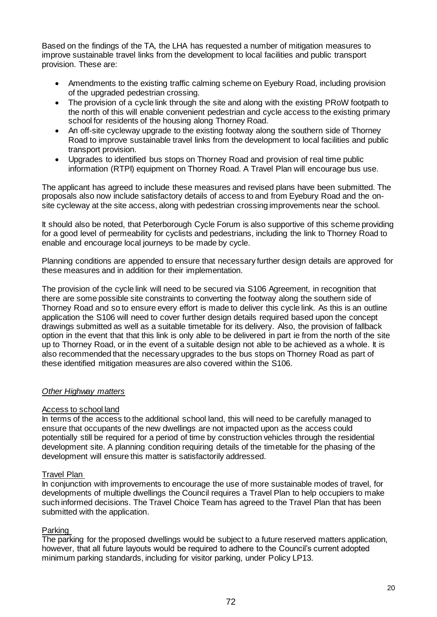Based on the findings of the TA, the LHA has requested a number of mitigation measures to improve sustainable travel links from the development to local facilities and public transport provision. These are:

- Amendments to the existing traffic calming scheme on Eyebury Road, including provision of the upgraded pedestrian crossing.
- The provision of a cycle link through the site and along with the existing PRoW footpath to the north of this will enable convenient pedestrian and cycle access to the existing primary school for residents of the housing along Thorney Road.
- An off-site cycleway upgrade to the existing footway along the southern side of Thorney Road to improve sustainable travel links from the development to local facilities and public transport provision.
- Upgrades to identified bus stops on Thorney Road and provision of real time public information (RTPI) equipment on Thorney Road. A Travel Plan will encourage bus use.

The applicant has agreed to include these measures and revised plans have been submitted. The proposals also now include satisfactory details of access to and from Eyebury Road and the onsite cycleway at the site access, along with pedestrian crossing improvements near the school.

It should also be noted, that Peterborough Cycle Forum is also supportive of this scheme providing for a good level of permeability for cyclists and pedestrians, including the link to Thorney Road to enable and encourage local journeys to be made by cycle.

Planning conditions are appended to ensure that necessary further design details are approved for these measures and in addition for their implementation.

The provision of the cycle link will need to be secured via S106 Agreement, in recognition that there are some possible site constraints to converting the footway along the southern side of Thorney Road and so to ensure every effort is made to deliver this cycle link. As this is an outline application the S106 will need to cover further design details required based upon the concept drawings submitted as well as a suitable timetable for its delivery. Also, the provision of fallback option in the event that that this link is only able to be delivered in part ie from the north of the site up to Thorney Road, or in the event of a suitable design not able to be achieved as a whole. It is also recommended that the necessary upgrades to the bus stops on Thorney Road as part of these identified mitigation measures are also covered within the S106.

### *Other Highway matters*

### Access to school land

In terms of the access to the additional school land, this will need to be carefully managed to ensure that occupants of the new dwellings are not impacted upon as the access could potentially still be required for a period of time by construction vehicles through the residential development site. A planning condition requiring details of the timetable for the phasing of the development will ensure this matter is satisfactorily addressed.

### Travel Plan

In conjunction with improvements to encourage the use of more sustainable modes of travel, for developments of multiple dwellings the Council requires a Travel Plan to help occupiers to make such informed decisions. The Travel Choice Team has agreed to the Travel Plan that has been submitted with the application.

### Parking

The parking for the proposed dwellings would be subject to a future reserved matters application, however, that all future layouts would be required to adhere to the Council's current adopted minimum parking standards, including for visitor parking, under Policy LP13.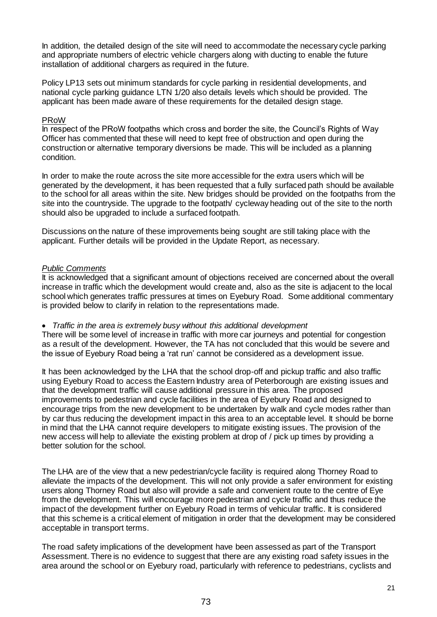In addition, the detailed design of the site will need to accommodate the necessary cycle parking and appropriate numbers of electric vehicle chargers along with ducting to enable the future installation of additional chargers as required in the future.

Policy LP13 sets out minimum standards for cycle parking in residential developments, and national cycle parking guidance LTN 1/20 also details levels which should be provided. The applicant has been made aware of these requirements for the detailed design stage.

#### PRoW

In respect of the PRoW footpaths which cross and border the site, the Council's Rights of Way Officer has commented that these will need to kept free of obstruction and open during the construction or alternative temporary diversions be made. This will be included as a planning condition.

In order to make the route across the site more accessible for the extra users which will be generated by the development, it has been requested that a fully surfaced path should be available to the school for all areas within the site. New bridges should be provided on the footpaths from the site into the countryside. The upgrade to the footpath/ cycleway heading out of the site to the north should also be upgraded to include a surfaced footpath.

Discussions on the nature of these improvements being sought are still taking place with the applicant. Further details will be provided in the Update Report, as necessary.

### *Public Comments*

It is acknowledged that a significant amount of objections received are concerned about the overall increase in traffic which the development would create and, also as the site is adjacent to the local school which generates traffic pressures at times on Eyebury Road. Some additional commentary is provided below to clarify in relation to the representations made.

#### *Traffic in the area is extremely busy without this additional development*

There will be some level of increase in traffic with more car journeys and potential for congestion as a result of the development. However, the TA has not concluded that this would be severe and the issue of Eyebury Road being a 'rat run' cannot be considered as a development issue.

It has been acknowledged by the LHA that the school drop-off and pickup traffic and also traffic using Eyebury Road to access the Eastern Industry area of Peterborough are existing issues and that the development traffic will cause additional pressure in this area. The proposed improvements to pedestrian and cycle facilities in the area of Eyebury Road and designed to encourage trips from the new development to be undertaken by walk and cycle modes rather than by car thus reducing the development impact in this area to an acceptable level. It should be borne in mind that the LHA cannot require developers to mitigate existing issues. The provision of the new access will help to alleviate the existing problem at drop of / pick up times by providing a better solution for the school.

The LHA are of the view that a new pedestrian/cycle facility is required along Thorney Road to alleviate the impacts of the development. This will not only provide a safer environment for existing users along Thorney Road but also will provide a safe and convenient route to the centre of Eye from the development. This will encourage more pedestrian and cycle traffic and thus reduce the impact of the development further on Eyebury Road in terms of vehicular traffic. It is considered that this scheme is a critical element of mitigation in order that the development may be considered acceptable in transport terms.

The road safety implications of the development have been assessed as part of the Transport Assessment. There is no evidence to suggest that there are any existing road safety issues in the area around the school or on Eyebury road, particularly with reference to pedestrians, cyclists and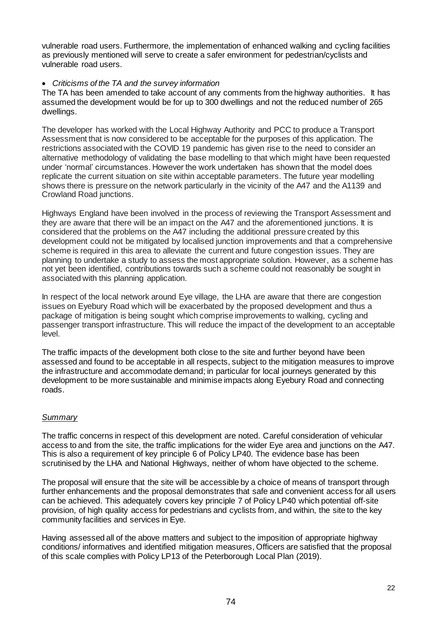vulnerable road users. Furthermore, the implementation of enhanced walking and cycling facilities as previously mentioned will serve to create a safer environment for pedestrian/cyclists and vulnerable road users.

### *Criticisms of the TA and the survey information*

The TA has been amended to take account of any comments from the highway authorities. It has assumed the development would be for up to 300 dwellings and not the reduced number of 265 dwellings.

The developer has worked with the Local Highway Authority and PCC to produce a Transport Assessment that is now considered to be acceptable for the purposes of this application. The restrictions associated with the COVID 19 pandemic has given rise to the need to consider an alternative methodology of validating the base modelling to that which might have been requested under 'normal' circumstances. However the work undertaken has shown that the model does replicate the current situation on site within acceptable parameters. The future year modelling shows there is pressure on the network particularly in the vicinity of the A47 and the A1139 and Crowland Road junctions.

Highways England have been involved in the process of reviewing the Transport Assessment and they are aware that there will be an impact on the A47 and the aforementioned junctions. It is considered that the problems on the A47 including the additional pressure created by this development could not be mitigated by localised junction improvements and that a comprehensive scheme is required in this area to alleviate the current and future congestion issues. They are planning to undertake a study to assess the most appropriate solution. However, as a scheme has not yet been identified, contributions towards such a scheme could not reasonably be sought in associated with this planning application.

In respect of the local network around Eye village, the LHA are aware that there are congestion issues on Eyebury Road which will be exacerbated by the proposed development and thus a package of mitigation is being sought which comprise improvements to walking, cycling and passenger transport infrastructure. This will reduce the impact of the development to an acceptable level.

The traffic impacts of the development both close to the site and further beyond have been assessed and found to be acceptable in all respects, subject to the mitigation measures to improve the infrastructure and accommodate demand; in particular for local journeys generated by this development to be more sustainable and minimise impacts along Eyebury Road and connecting roads.

### *Summary*

The traffic concerns in respect of this development are noted. Careful consideration of vehicular access to and from the site, the traffic implications for the wider Eye area and junctions on the A47. This is also a requirement of key principle 6 of Policy LP40. The evidence base has been scrutinised by the LHA and National Highways, neither of whom have objected to the scheme.

The proposal will ensure that the site will be accessible by a choice of means of transport through further enhancements and the proposal demonstrates that safe and convenient access for all users can be achieved. This adequately covers key principle 7 of Policy LP40 which potential off-site provision, of high quality access for pedestrians and cyclists from, and within, the site to the key community facilities and services in Eye.

Having assessed all of the above matters and subject to the imposition of appropriate highway conditions/ informatives and identified mitigation measures, Officers are satisfied that the proposal of this scale complies with Policy LP13 of the Peterborough Local Plan (2019).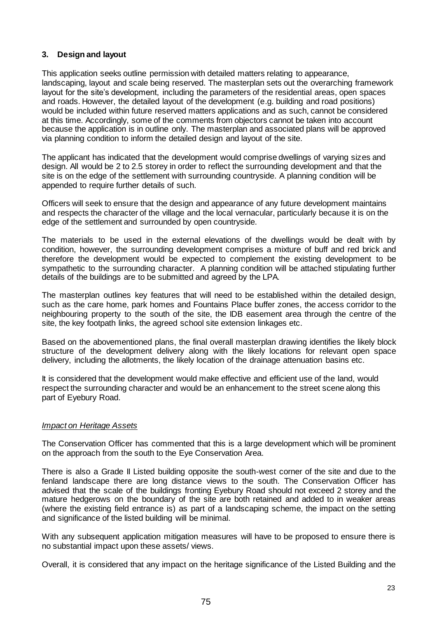# **3. Design and layout**

This application seeks outline permission with detailed matters relating to appearance, landscaping, layout and scale being reserved. The masterplan sets out the overarching framework layout for the site's development, including the parameters of the residential areas, open spaces and roads. However, the detailed layout of the development (e.g. building and road positions) would be included within future reserved matters applications and as such, cannot be considered at this time. Accordingly, some of the comments from objectors cannot be taken into account because the application is in outline only. The masterplan and associated plans will be approved via planning condition to inform the detailed design and layout of the site.

The applicant has indicated that the development would comprise dwellings of varying sizes and design. All would be 2 to 2.5 storey in order to reflect the surrounding development and that the site is on the edge of the settlement with surrounding countryside. A planning condition will be appended to require further details of such.

Officers will seek to ensure that the design and appearance of any future development maintains and respects the character of the village and the local vernacular, particularly because it is on the edge of the settlement and surrounded by open countryside.

The materials to be used in the external elevations of the dwellings would be dealt with by condition, however, the surrounding development comprises a mixture of buff and red brick and therefore the development would be expected to complement the existing development to be sympathetic to the surrounding character. A planning condition will be attached stipulating further details of the buildings are to be submitted and agreed by the LPA.

The masterplan outlines key features that will need to be established within the detailed design, such as the care home, park homes and Fountains Place buffer zones, the access corridor to the neighbouring property to the south of the site, the IDB easement area through the centre of the site, the key footpath links, the agreed school site extension linkages etc.

Based on the abovementioned plans, the final overall masterplan drawing identifies the likely block structure of the development delivery along with the likely locations for relevant open space delivery, including the allotments, the likely location of the drainage attenuation basins etc.

It is considered that the development would make effective and efficient use of the land, would respect the surrounding character and would be an enhancement to the street scene along this part of Eyebury Road.

### *Impact on Heritage Assets*

The Conservation Officer has commented that this is a large development which will be prominent on the approach from the south to the Eye Conservation Area.

There is also a Grade II Listed building opposite the south-west corner of the site and due to the fenland landscape there are long distance views to the south. The Conservation Officer has advised that the scale of the buildings fronting Eyebury Road should not exceed 2 storey and the mature hedgerows on the boundary of the site are both retained and added to in weaker areas (where the existing field entrance is) as part of a landscaping scheme, the impact on the setting and significance of the listed building will be minimal.

With any subsequent application mitigation measures will have to be proposed to ensure there is no substantial impact upon these assets/ views.

Overall, it is considered that any impact on the heritage significance of the Listed Building and the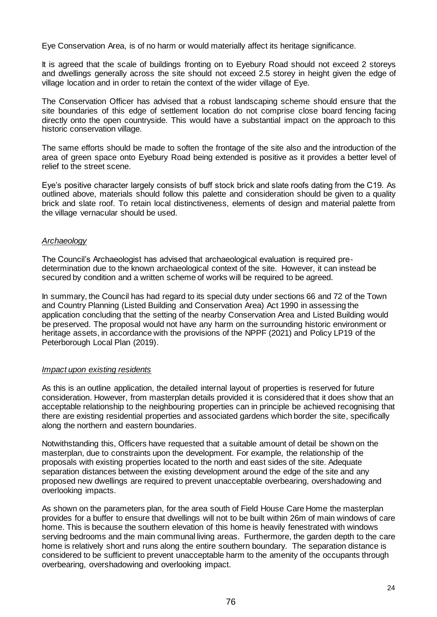Eye Conservation Area, is of no harm or would materially affect its heritage significance.

It is agreed that the scale of buildings fronting on to Eyebury Road should not exceed 2 storeys and dwellings generally across the site should not exceed 2.5 storey in height given the edge of village location and in order to retain the context of the wider village of Eye.

The Conservation Officer has advised that a robust landscaping scheme should ensure that the site boundaries of this edge of settlement location do not comprise close board fencing facing directly onto the open countryside. This would have a substantial impact on the approach to this historic conservation village.

The same efforts should be made to soften the frontage of the site also and the introduction of the area of green space onto Eyebury Road being extended is positive as it provides a better level of relief to the street scene.

Eye's positive character largely consists of buff stock brick and slate roofs dating from the C19. As outlined above, materials should follow this palette and consideration should be given to a quality brick and slate roof. To retain local distinctiveness, elements of design and material palette from the village vernacular should be used.

### *Archaeology*

The Council's Archaeologist has advised that archaeological evaluation is required predetermination due to the known archaeological context of the site. However, it can instead be secured by condition and a written scheme of works will be required to be agreed.

In summary, the Council has had regard to its special duty under sections 66 and 72 of the Town and Country Planning (Listed Building and Conservation Area) Act 1990 in assessing the application concluding that the setting of the nearby Conservation Area and Listed Building would be preserved. The proposal would not have any harm on the surrounding historic environment or heritage assets, in accordance with the provisions of the NPPF (2021) and Policy LP19 of the Peterborough Local Plan (2019).

#### *Impact upon existing residents*

As this is an outline application, the detailed internal layout of properties is reserved for future consideration. However, from masterplan details provided it is considered that it does show that an acceptable relationship to the neighbouring properties can in principle be achieved recognising that there are existing residential properties and associated gardens which border the site, specifically along the northern and eastern boundaries.

Notwithstanding this, Officers have requested that a suitable amount of detail be shown on the masterplan, due to constraints upon the development. For example, the relationship of the proposals with existing properties located to the north and east sides of the site. Adequate separation distances between the existing development around the edge of the site and any proposed new dwellings are required to prevent unacceptable overbearing, overshadowing and overlooking impacts.

As shown on the parameters plan, for the area south of Field House Care Home the masterplan provides for a buffer to ensure that dwellings will not to be built within 26m of main windows of care home. This is because the southern elevation of this home is heavily fenestrated with windows serving bedrooms and the main communal living areas. Furthermore, the garden depth to the care home is relatively short and runs along the entire southern boundary. The separation distance is considered to be sufficient to prevent unacceptable harm to the amenity of the occupants through overbearing, overshadowing and overlooking impact.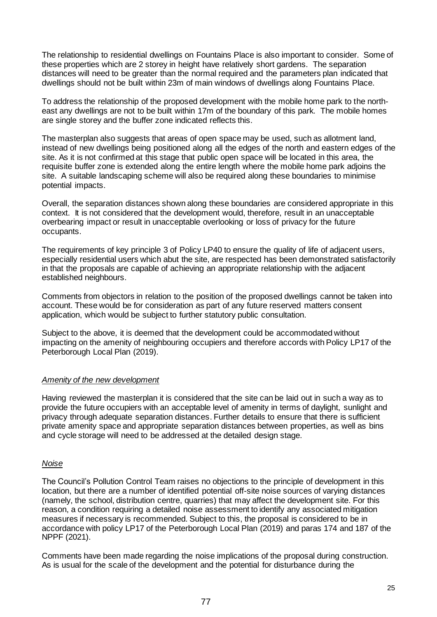The relationship to residential dwellings on Fountains Place is also important to consider. Some of these properties which are 2 storey in height have relatively short gardens. The separation distances will need to be greater than the normal required and the parameters plan indicated that dwellings should not be built within 23m of main windows of dwellings along Fountains Place.

To address the relationship of the proposed development with the mobile home park to the northeast any dwellings are not to be built within 17m of the boundary of this park. The mobile homes are single storey and the buffer zone indicated reflects this.

The masterplan also suggests that areas of open space may be used, such as allotment land, instead of new dwellings being positioned along all the edges of the north and eastern edges of the site. As it is not confirmed at this stage that public open space will be located in this area, the requisite buffer zone is extended along the entire length where the mobile home park adjoins the site. A suitable landscaping scheme will also be required along these boundaries to minimise potential impacts.

Overall, the separation distances shown along these boundaries are considered appropriate in this context. It is not considered that the development would, therefore, result in an unacceptable overbearing impact or result in unacceptable overlooking or loss of privacy for the future occupants.

The requirements of key principle 3 of Policy LP40 to ensure the quality of life of adjacent users, especially residential users which abut the site, are respected has been demonstrated satisfactorily in that the proposals are capable of achieving an appropriate relationship with the adjacent established neighbours.

Comments from objectors in relation to the position of the proposed dwellings cannot be taken into account. These would be for consideration as part of any future reserved matters consent application, which would be subject to further statutory public consultation.

Subject to the above, it is deemed that the development could be accommodated without impacting on the amenity of neighbouring occupiers and therefore accords with Policy LP17 of the Peterborough Local Plan (2019).

### *Amenity of the new development*

Having reviewed the masterplan it is considered that the site can be laid out in such a way as to provide the future occupiers with an acceptable level of amenity in terms of daylight, sunlight and privacy through adequate separation distances. Further details to ensure that there is sufficient private amenity space and appropriate separation distances between properties, as well as bins and cycle storage will need to be addressed at the detailed design stage.

### *Noise*

The Council's Pollution Control Team raises no objections to the principle of development in this location, but there are a number of identified potential off-site noise sources of varying distances (namely, the school, distribution centre, quarries) that may affect the development site. For this reason, a condition requiring a detailed noise assessment to identify any associated mitigation measures if necessary is recommended. Subject to this, the proposal is considered to be in accordance with policy LP17 of the Peterborough Local Plan (2019) and paras 174 and 187 of the NPPF (2021).

Comments have been made regarding the noise implications of the proposal during construction. As is usual for the scale of the development and the potential for disturbance during the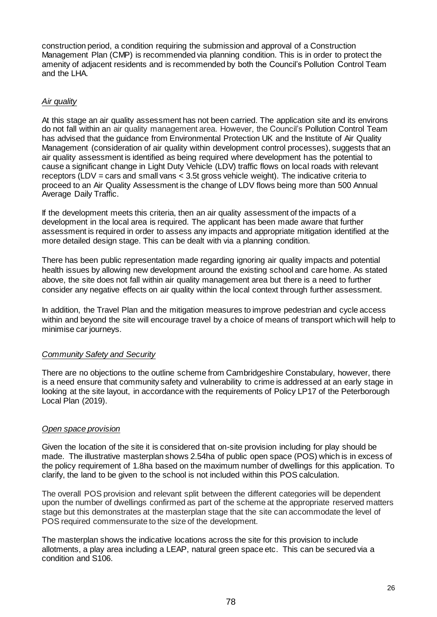construction period, a condition requiring the submission and approval of a Construction Management Plan (CMP) is recommended via planning condition. This is in order to protect the amenity of adjacent residents and is recommended by both the Council's Pollution Control Team and the LHA.

# *Air quality*

At this stage an air quality assessment has not been carried. The application site and its environs do not fall within an air quality management area. However, the Council's Pollution Control Team has advised that the guidance from Environmental Protection UK and the Institute of Air Quality Management (consideration of air quality within development control processes), suggests that an air quality assessment is identified as being required where development has the potential to cause a significant change in Light Duty Vehicle (LDV) traffic flows on local roads with relevant receptors (LDV = cars and small vans < 3.5t gross vehicle weight). The indicative criteria to proceed to an Air Quality Assessment is the change of LDV flows being more than 500 Annual Average Daily Traffic.

If the development meets this criteria, then an air quality assessment of the impacts of a development in the local area is required. The applicant has been made aware that further assessment is required in order to assess any impacts and appropriate mitigation identified at the more detailed design stage. This can be dealt with via a planning condition.

There has been public representation made regarding ignoring air quality impacts and potential health issues by allowing new development around the existing school and care home. As stated above, the site does not fall within air quality management area but there is a need to further consider any negative effects on air quality within the local context through further assessment.

In addition, the Travel Plan and the mitigation measures to improve pedestrian and cycle access within and beyond the site will encourage travel by a choice of means of transport which will help to minimise car journeys.

# *Community Safety and Security*

There are no objections to the outline scheme from Cambridgeshire Constabulary, however, there is a need ensure that community safety and vulnerability to crime is addressed at an early stage in looking at the site layout, in accordance with the requirements of Policy LP17 of the Peterborough Local Plan (2019).

# *Open space provision*

Given the location of the site it is considered that on-site provision including for play should be made. The illustrative masterplan shows 2.54ha of public open space (POS) which is in excess of the policy requirement of 1.8ha based on the maximum number of dwellings for this application. To clarify, the land to be given to the school is not included within this POS calculation.

The overall POS provision and relevant split between the different categories will be dependent upon the number of dwellings confirmed as part of the scheme at the appropriate reserved matters stage but this demonstrates at the masterplan stage that the site can accommodate the level of POS required commensurate to the size of the development.

The masterplan shows the indicative locations across the site for this provision to include allotments, a play area including a LEAP, natural green space etc. This can be secured via a condition and S106.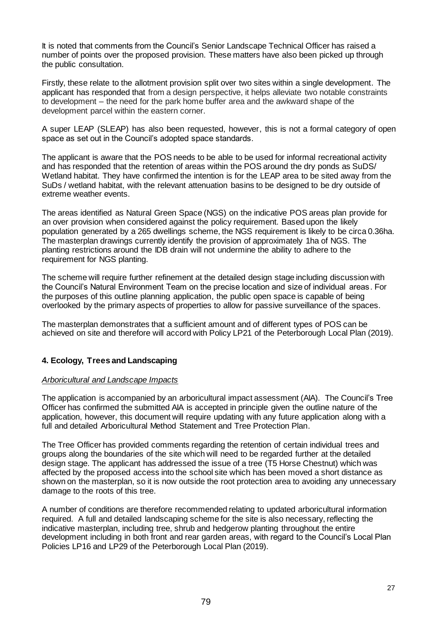It is noted that comments from the Council's Senior Landscape Technical Officer has raised a number of points over the proposed provision. These matters have also been picked up through the public consultation.

Firstly, these relate to the allotment provision split over two sites within a single development. The applicant has responded that from a design perspective, it helps alleviate two notable constraints to development – the need for the park home buffer area and the awkward shape of the development parcel within the eastern corner.

A super LEAP (SLEAP) has also been requested, however, this is not a formal category of open space as set out in the Council's adopted space standards.

The applicant is aware that the POS needs to be able to be used for informal recreational activity and has responded that the retention of areas within the POS around the dry ponds as SuDS/ Wetland habitat. They have confirmed the intention is for the LEAP area to be sited away from the SuDs / wetland habitat, with the relevant attenuation basins to be designed to be dry outside of extreme weather events.

The areas identified as Natural Green Space (NGS) on the indicative POS areas plan provide for an over provision when considered against the policy requirement. Based upon the likely population generated by a 265 dwellings scheme, the NGS requirement is likely to be circa 0.36ha. The masterplan drawings currently identify the provision of approximately 1ha of NGS. The planting restrictions around the IDB drain will not undermine the ability to adhere to the requirement for NGS planting.

The scheme will require further refinement at the detailed design stage including discussion with the Council's Natural Environment Team on the precise location and size of individual areas. For the purposes of this outline planning application, the public open space is capable of being overlooked by the primary aspects of properties to allow for passive surveillance of the spaces.

The masterplan demonstrates that a sufficient amount and of different types of POS can be achieved on site and therefore will accord with Policy LP21 of the Peterborough Local Plan (2019).

# **4. Ecology, Trees and Landscaping**

### *Arboricultural and Landscape Impacts*

The application is accompanied by an arboricultural impact assessment (AIA). The Council's Tree Officer has confirmed the submitted AIA is accepted in principle given the outline nature of the application, however, this document will require updating with any future application along with a full and detailed Arboricultural Method Statement and Tree Protection Plan.

The Tree Officer has provided comments regarding the retention of certain individual trees and groups along the boundaries of the site which will need to be regarded further at the detailed design stage. The applicant has addressed the issue of a tree (T5 Horse Chestnut) which was affected by the proposed access into the school site which has been moved a short distance as shown on the masterplan, so it is now outside the root protection area to avoiding any unnecessary damage to the roots of this tree.

A number of conditions are therefore recommended relating to updated arboricultural information required. A full and detailed landscaping scheme for the site is also necessary, reflecting the indicative masterplan, including tree, shrub and hedgerow planting throughout the entire development including in both front and rear garden areas, with regard to the Council's Local Plan Policies LP16 and LP29 of the Peterborough Local Plan (2019).

79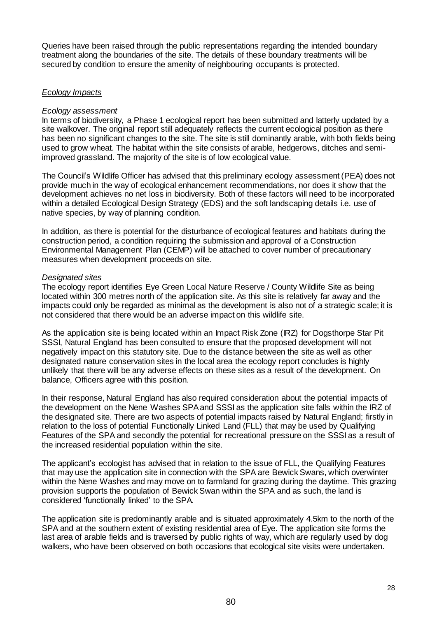Queries have been raised through the public representations regarding the intended boundary treatment along the boundaries of the site. The details of these boundary treatments will be secured by condition to ensure the amenity of neighbouring occupants is protected.

### *Ecology Impacts*

### *Ecology assessment*

In terms of biodiversity, a Phase 1 ecological report has been submitted and latterly updated by a site walkover. The original report still adequately reflects the current ecological position as there has been no significant changes to the site. The site is still dominantly arable, with both fields being used to grow wheat. The habitat within the site consists of arable, hedgerows, ditches and semiimproved grassland. The majority of the site is of low ecological value.

The Council's Wildlife Officer has advised that this preliminary ecology assessment (PEA) does not provide much in the way of ecological enhancement recommendations, nor does it show that the development achieves no net loss in biodiversity. Both of these factors will need to be incorporated within a detailed Ecological Design Strategy (EDS) and the soft landscaping details i.e. use of native species, by way of planning condition.

In addition, as there is potential for the disturbance of ecological features and habitats during the construction period, a condition requiring the submission and approval of a Construction Environmental Management Plan (CEMP) will be attached to cover number of precautionary measures when development proceeds on site.

### *Designated sites*

The ecology report identifies Eye Green Local Nature Reserve / County Wildlife Site as being located within 300 metres north of the application site. As this site is relatively far away and the impacts could only be regarded as minimal as the development is also not of a strategic scale; it is not considered that there would be an adverse impact on this wildlife site.

As the application site is being located within an Impact Risk Zone (IRZ) for Dogsthorpe Star Pit SSSI, Natural England has been consulted to ensure that the proposed development will not negatively impact on this statutory site. Due to the distance between the site as well as other designated nature conservation sites in the local area the ecology report concludes is highly unlikely that there will be any adverse effects on these sites as a result of the development. On balance, Officers agree with this position.

In their response, Natural England has also required consideration about the potential impacts of the development on the Nene Washes SPAand SSSI as the application site falls within the IRZ of the designated site. There are two aspects of potential impacts raised by Natural England; firstly in relation to the loss of potential Functionally Linked Land (FLL) that may be used by Qualifying Features of the SPA and secondly the potential for recreational pressure on the SSSI as a result of the increased residential population within the site.

The applicant's ecologist has advised that in relation to the issue of FLL, the Qualifying Features that may use the application site in connection with the SPA are Bewick Swans, which overwinter within the Nene Washes and may move on to farmland for grazing during the daytime. This grazing provision supports the population of Bewick Swan within the SPA and as such, the land is considered 'functionally linked' to the SPA.

The application site is predominantly arable and is situated approximately 4.5km to the north of the SPA and at the southern extent of existing residential area of Eve. The application site forms the last area of arable fields and is traversed by public rights of way, which are regularly used by dog walkers, who have been observed on both occasions that ecological site visits were undertaken.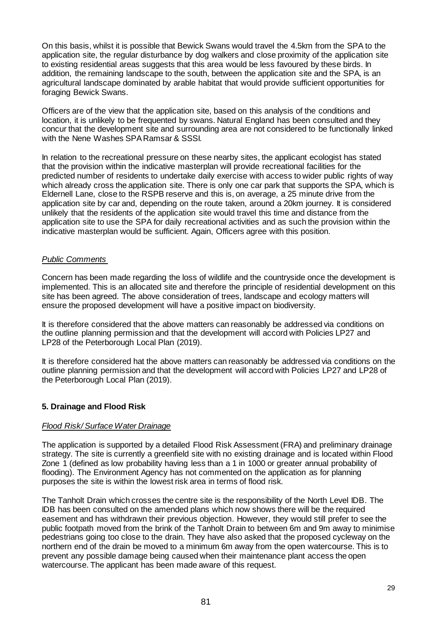On this basis, whilst it is possible that Bewick Swans would travel the 4.5km from the SPA to the application site, the regular disturbance by dog walkers and close proximity of the application site to existing residential areas suggests that this area would be less favoured by these birds. In addition, the remaining landscape to the south, between the application site and the SPA, is an agricultural landscape dominated by arable habitat that would provide sufficient opportunities for foraging Bewick Swans.

Officers are of the view that the application site, based on this analysis of the conditions and location, it is unlikely to be frequented by swans. Natural England has been consulted and they concur that the development site and surrounding area are not considered to be functionally linked with the Nene Washes SPA Ramsar & SSSI.

In relation to the recreational pressure on these nearby sites, the applicant ecologist has stated that the provision within the indicative masterplan will provide recreational facilities for the predicted number of residents to undertake daily exercise with access to wider public rights of way which already cross the application site. There is only one car park that supports the SPA, which is Eldernell Lane, close to the RSPB reserve and this is, on average, a 25 minute drive from the application site by car and, depending on the route taken, around a 20km journey. It is considered unlikely that the residents of the application site would travel this time and distance from the application site to use the SPA for daily recreational activities and as such the provision within the indicative masterplan would be sufficient. Again, Officers agree with this position.

### *Public Comments*

Concern has been made regarding the loss of wildlife and the countryside once the development is implemented. This is an allocated site and therefore the principle of residential development on this site has been agreed. The above consideration of trees, landscape and ecology matters will ensure the proposed development will have a positive impact on biodiversity.

It is therefore considered that the above matters can reasonably be addressed via conditions on the outline planning permission and that the development will accord with Policies LP27 and LP28 of the Peterborough Local Plan (2019).

It is therefore considered hat the above matters can reasonably be addressed via conditions on the outline planning permission and that the development will accord with Policies LP27 and LP28 of the Peterborough Local Plan (2019).

### **5. Drainage and Flood Risk**

#### *Flood Risk/ Surface Water Drainage*

The application is supported by a detailed Flood Risk Assessment (FRA) and preliminary drainage strategy. The site is currently a greenfield site with no existing drainage and is located within Flood Zone 1 (defined as low probability having less than a 1 in 1000 or greater annual probability of flooding). The Environment Agency has not commented on the application as for planning purposes the site is within the lowest risk area in terms of flood risk.

The Tanholt Drain which crosses the centre site is the responsibility of the North Level IDB. The IDB has been consulted on the amended plans which now shows there will be the required easement and has withdrawn their previous objection. However, they would still prefer to see the public footpath moved from the brink of the Tanholt Drain to between 6m and 9m away to minimise pedestrians going too close to the drain. They have also asked that the proposed cycleway on the northern end of the drain be moved to a minimum 6m away from the open watercourse. This is to prevent any possible damage being caused when their maintenance plant access the open watercourse. The applicant has been made aware of this request.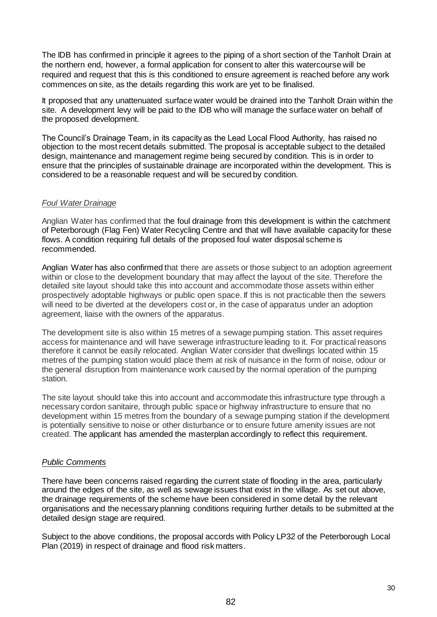The IDB has confirmed in principle it agrees to the piping of a short section of the Tanholt Drain at the northern end, however, a formal application for consent to alter this watercourse will be required and request that this is this conditioned to ensure agreement is reached before any work commences on site, as the details regarding this work are yet to be finalised.

It proposed that any unattenuated surface water would be drained into the Tanholt Drain within the site. A development levy will be paid to the IDB who will manage the surface water on behalf of the proposed development.

The Council's Drainage Team, in its capacity as the Lead Local Flood Authority, has raised no objection to the most recent details submitted. The proposal is acceptable subject to the detailed design, maintenance and management regime being secured by condition. This is in order to ensure that the principles of sustainable drainage are incorporated within the development. This is considered to be a reasonable request and will be secured by condition.

## *Foul Water Drainage*

Anglian Water has confirmed that the foul drainage from this development is within the catchment of Peterborough (Flag Fen) Water Recycling Centre and that will have available capacity for these flows. A condition requiring full details of the proposed foul water disposal scheme is recommended.

Anglian Water has also confirmed that there are assets or those subject to an adoption agreement within or close to the development boundary that may affect the layout of the site. Therefore the detailed site layout should take this into account and accommodate those assets within either prospectively adoptable highways or public open space. If this is not practicable then the sewers will need to be diverted at the developers cost or, in the case of apparatus under an adoption agreement, liaise with the owners of the apparatus.

The development site is also within 15 metres of a sewage pumping station. This asset requires access for maintenance and will have sewerage infrastructure leading to it. For practical reasons therefore it cannot be easily relocated. Anglian Water consider that dwellings located within 15 metres of the pumping station would place them at risk of nuisance in the form of noise, odour or the general disruption from maintenance work caused by the normal operation of the pumping station.

The site layout should take this into account and accommodate this infrastructure type through a necessary cordon sanitaire, through public space or highway infrastructure to ensure that no development within 15 metres from the boundary of a sewage pumping station if the development is potentially sensitive to noise or other disturbance or to ensure future amenity issues are not created. The applicant has amended the masterplan accordingly to reflect this requirement.

### *Public Comments*

There have been concerns raised regarding the current state of flooding in the area, particularly around the edges of the site, as well as sewage issues that exist in the village. As set out above, the drainage requirements of the scheme have been considered in some detail by the relevant organisations and the necessary planning conditions requiring further details to be submitted at the detailed design stage are required.

Subject to the above conditions, the proposal accords with Policy LP32 of the Peterborough Local Plan (2019) in respect of drainage and flood risk matters.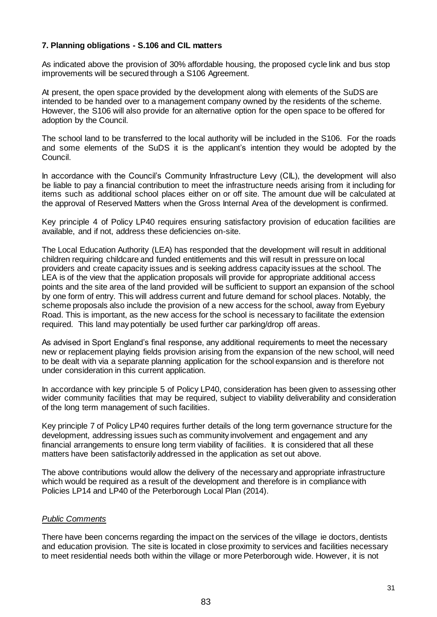## **7. Planning obligations - S.106 and CIL matters**

As indicated above the provision of 30% affordable housing, the proposed cycle link and bus stop improvements will be secured through a S106 Agreement.

At present, the open space provided by the development along with elements of the SuDS are intended to be handed over to a management company owned by the residents of the scheme. However, the S106 will also provide for an alternative option for the open space to be offered for adoption by the Council.

The school land to be transferred to the local authority will be included in the S106. For the roads and some elements of the SuDS it is the applicant's intention they would be adopted by the Council.

In accordance with the Council's Community Infrastructure Levy (CIL), the development will also be liable to pay a financial contribution to meet the infrastructure needs arising from it including for items such as additional school places either on or off site. The amount due will be calculated at the approval of Reserved Matters when the Gross Internal Area of the development is confirmed.

Key principle 4 of Policy LP40 requires ensuring satisfactory provision of education facilities are available, and if not, address these deficiencies on-site.

The Local Education Authority (LEA) has responded that the development will result in additional children requiring childcare and funded entitlements and this will result in pressure on local providers and create capacity issues and is seeking address capacity issues at the school. The LEA is of the view that the application proposals will provide for appropriate additional access points and the site area of the land provided will be sufficient to support an expansion of the school by one form of entry. This will address current and future demand for school places. Notably, the scheme proposals also include the provision of a new access for the school, away from Eyebury Road. This is important, as the new access for the school is necessary to facilitate the extension required. This land may potentially be used further car parking/drop off areas.

As advised in Sport England's final response, any additional requirements to meet the necessary new or replacement playing fields provision arising from the expansion of the new school, will need to be dealt with via a separate planning application for the school expansion and is therefore not under consideration in this current application.

In accordance with key principle 5 of Policy LP40, consideration has been given to assessing other wider community facilities that may be required, subject to viability deliverability and consideration of the long term management of such facilities.

Key principle 7 of Policy LP40 requires further details of the long term governance structure for the development, addressing issues such as community involvement and engagement and any financial arrangements to ensure long term viability of facilities. It is considered that all these matters have been satisfactorily addressed in the application as set out above.

The above contributions would allow the delivery of the necessary and appropriate infrastructure which would be required as a result of the development and therefore is in compliance with Policies LP14 and LP40 of the Peterborough Local Plan (2014).

### *Public Comments*

There have been concerns regarding the impact on the services of the village ie doctors, dentists and education provision. The site is located in close proximity to services and facilities necessary to meet residential needs both within the village or more Peterborough wide. However, it is not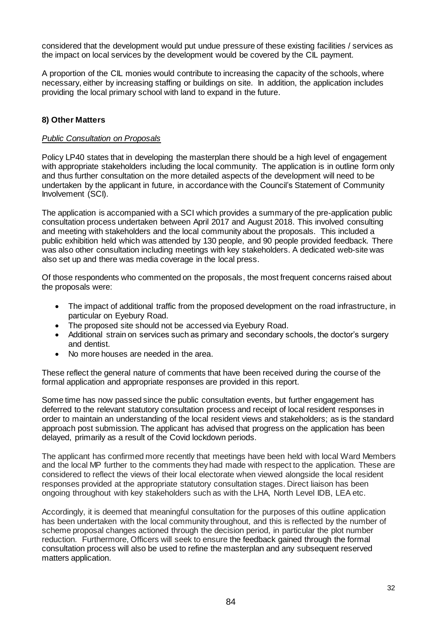considered that the development would put undue pressure of these existing facilities / services as the impact on local services by the development would be covered by the CIL payment.

A proportion of the CIL monies would contribute to increasing the capacity of the schools, where necessary, either by increasing staffing or buildings on site. In addition, the application includes providing the local primary school with land to expand in the future.

# **8) Other Matters**

#### *Public Consultation on Proposals*

Policy LP40 states that in developing the masterplan there should be a high level of engagement with appropriate stakeholders including the local community. The application is in outline form only and thus further consultation on the more detailed aspects of the development will need to be undertaken by the applicant in future, in accordance with the Council's Statement of Community Involvement (SCI).

The application is accompanied with a SCI which provides a summary of the pre-application public consultation process undertaken between April 2017 and August 2018. This involved consulting and meeting with stakeholders and the local community about the proposals. This included a public exhibition held which was attended by 130 people, and 90 people provided feedback. There was also other consultation including meetings with key stakeholders. A dedicated web-site was also set up and there was media coverage in the local press.

Of those respondents who commented on the proposals, the most frequent concerns raised about the proposals were:

- The impact of additional traffic from the proposed development on the road infrastructure, in particular on Eyebury Road.
- The proposed site should not be accessed via Eyebury Road.
- Additional strain on services such as primary and secondary schools, the doctor's surgery and dentist.
- No more houses are needed in the area.

These reflect the general nature of comments that have been received during the course of the formal application and appropriate responses are provided in this report.

Some time has now passed since the public consultation events, but further engagement has deferred to the relevant statutory consultation process and receipt of local resident responses in order to maintain an understanding of the local resident views and stakeholders; as is the standard approach post submission. The applicant has advised that progress on the application has been delayed, primarily as a result of the Covid lockdown periods.

The applicant has confirmed more recently that meetings have been held with local Ward Members and the local MP further to the comments they had made with respect to the application. These are considered to reflect the views of their local electorate when viewed alongside the local resident responses provided at the appropriate statutory consultation stages. Direct liaison has been ongoing throughout with key stakeholders such as with the LHA, North Level IDB, LEA etc.

Accordingly, it is deemed that meaningful consultation for the purposes of this outline application has been undertaken with the local community throughout, and this is reflected by the number of scheme proposal changes actioned through the decision period, in particular the plot number reduction. Furthermore, Officers will seek to ensure the feedback gained through the formal consultation process will also be used to refine the masterplan and any subsequent reserved matters application.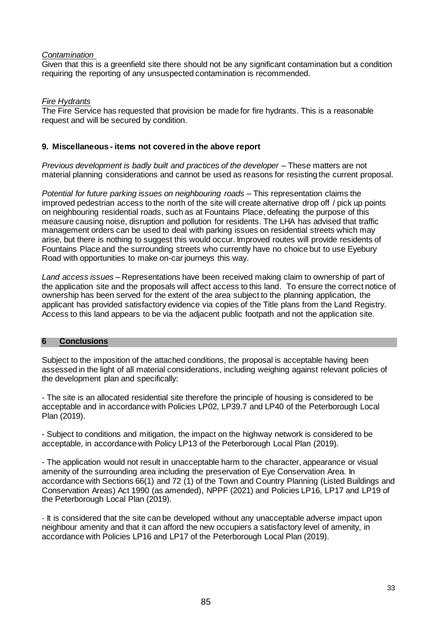### *Contamination*

Given that this is a greenfield site there should not be any significant contamination but a condition requiring the reporting of any unsuspected contamination is recommended.

### *Fire Hydrants*

The Fire Service has requested that provision be made for fire hydrants. This is a reasonable request and will be secured by condition.

# **9. Miscellaneous - items not covered in the above report**

*Previous development is badly built and practices of the developer – These matters are not* material planning considerations and cannot be used as reasons for resisting the current proposal.

*Potential for future parking issues on neighbouring roads* – This representation claims the improved pedestrian access to the north of the site will create alternative drop off / pick up points on neighbouring residential roads, such as at Fountains Place, defeating the purpose of this measure causing noise, disruption and pollution for residents. The LHA has advised that traffic management orders can be used to deal with parking issues on residential streets which may arise, but there is nothing to suggest this would occur. Improved routes will provide residents of Fountains Place and the surrounding streets who currently have no choice but to use Eyebury Road with opportunities to make on-car journeys this way.

*Land access issues* – Representations have been received making claim to ownership of part of the application site and the proposals will affect access to this land. To ensure the correct notice of ownership has been served for the extent of the area subject to the planning application, the applicant has provided satisfactory evidence via copies of the Title plans from the Land Registry. Access to this land appears to be via the adjacent public footpath and not the application site.

#### **6 Conclusions**

Subject to the imposition of the attached conditions, the proposal is acceptable having been assessed in the light of all material considerations, including weighing against relevant policies of the development plan and specifically:

- The site is an allocated residential site therefore the principle of housing is considered to be acceptable and in accordance with Policies LP02, LP39.7 and LP40 of the Peterborough Local Plan (2019).

- Subject to conditions and mitigation, the impact on the highway network is considered to be acceptable, in accordance with Policy LP13 of the Peterborough Local Plan (2019).

- The application would not result in unacceptable harm to the character, appearance or visual amenity of the surrounding area including the preservation of Eye Conservation Area. In accordance with Sections 66(1) and 72 (1) of the Town and Country Planning (Listed Buildings and Conservation Areas) Act 1990 (as amended), NPPF (2021) and Policies LP16, LP17 and LP19 of the Peterborough Local Plan (2019).

- It is considered that the site can be developed without any unacceptable adverse impact upon neighbour amenity and that it can afford the new occupiers a satisfactory level of amenity, in accordance with Policies LP16 and LP17 of the Peterborough Local Plan (2019).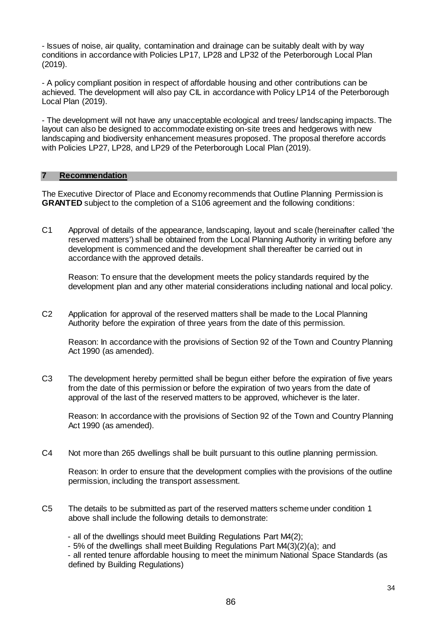- Issues of noise, air quality, contamination and drainage can be suitably dealt with by way conditions in accordance with Policies LP17, LP28 and LP32 of the Peterborough Local Plan (2019).

- A policy compliant position in respect of affordable housing and other contributions can be achieved. The development will also pay CIL in accordance with Policy LP14 of the Peterborough Local Plan (2019).

- The development will not have any unacceptable ecological and trees/ landscaping impacts. The layout can also be designed to accommodate existing on-site trees and hedgerows with new landscaping and biodiversity enhancement measures proposed. The proposal therefore accords with Policies LP27, LP28, and LP29 of the Peterborough Local Plan (2019).

#### **7 Recommendation**

The Executive Director of Place and Economy recommends that Outline Planning Permission is **GRANTED** subject to the completion of a S106 agreement and the following conditions:

C1 Approval of details of the appearance, landscaping, layout and scale (hereinafter called 'the reserved matters') shall be obtained from the Local Planning Authority in writing before any development is commenced and the development shall thereafter be carried out in accordance with the approved details.

Reason: To ensure that the development meets the policy standards required by the development plan and any other material considerations including national and local policy.

C2 Application for approval of the reserved matters shall be made to the Local Planning Authority before the expiration of three years from the date of this permission.

Reason: In accordance with the provisions of Section 92 of the Town and Country Planning Act 1990 (as amended).

C3 The development hereby permitted shall be begun either before the expiration of five years from the date of this permission or before the expiration of two years from the date of approval of the last of the reserved matters to be approved, whichever is the later.

Reason: In accordance with the provisions of Section 92 of the Town and Country Planning Act 1990 (as amended).

C4 Not more than 265 dwellings shall be built pursuant to this outline planning permission.

Reason: In order to ensure that the development complies with the provisions of the outline permission, including the transport assessment.

- C5 The details to be submitted as part of the reserved matters scheme under condition 1 above shall include the following details to demonstrate:
	- all of the dwellings should meet Building Regulations Part M4(2);
	- 5% of the dwellings shall meet Building Regulations Part M4(3)(2)(a); and

- all rented tenure affordable housing to meet the minimum National Space Standards (as defined by Building Regulations)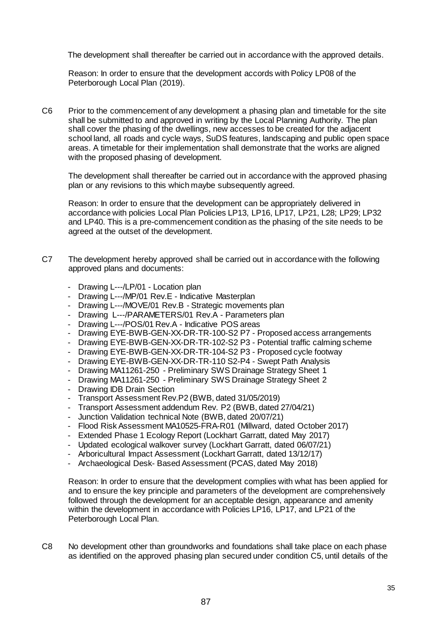The development shall thereafter be carried out in accordance with the approved details.

Reason: In order to ensure that the development accords with Policy LP08 of the Peterborough Local Plan (2019).

C6 Prior to the commencement of any development a phasing plan and timetable for the site shall be submitted to and approved in writing by the Local Planning Authority. The plan shall cover the phasing of the dwellings, new accesses to be created for the adjacent school land, all roads and cycle ways, SuDS features, landscaping and public open space areas. A timetable for their implementation shall demonstrate that the works are aligned with the proposed phasing of development.

The development shall thereafter be carried out in accordance with the approved phasing plan or any revisions to this which maybe subsequently agreed.

Reason: In order to ensure that the development can be appropriately delivered in accordance with policies Local Plan Policies LP13, LP16, LP17, LP21, L28; LP29; LP32 and LP40. This is a pre-commencement condition as the phasing of the site needs to be agreed at the outset of the development.

- C7 The development hereby approved shall be carried out in accordance with the following approved plans and documents:
	- Drawing L---/LP/01 Location plan
	- Drawing L---/MP/01 Rev.E Indicative Masterplan
	- Drawing L---/MOVE/01 Rev.B Strategic movements plan
	- Drawing L---/PARAMETERS/01 Rev.A Parameters plan
	- Drawing L---/POS/01 Rev.A Indicative POS areas
	- Drawing EYE-BWB-GEN-XX-DR-TR-100-S2 P7 Proposed access arrangements
	- Drawing EYE-BWB-GEN-XX-DR-TR-102-S2 P3 Potential traffic calming scheme
	- Drawing EYE-BWB-GEN-XX-DR-TR-104-S2 P3 Proposed cycle footway
	- Drawing EYE-BWB-GEN-XX-DR-TR-110 S2-P4 Swept Path Analysis
	- Drawing MA11261-250 Preliminary SWS Drainage Strategy Sheet 1
	- Drawing MA11261-250 Preliminary SWS Drainage Strategy Sheet 2
	- Drawing IDB Drain Section
	- Transport Assessment Rev.P2 (BWB, dated 31/05/2019)
	- Transport Assessment addendum Rev. P2 (BWB, dated 27/04/21)
	- Junction Validation technical Note (BWB, dated 20/07/21)
	- Flood Risk Assessment MA10525-FRA-R01 (Millward, dated October 2017)
	- Extended Phase 1 Ecology Report (Lockhart Garratt, dated May 2017)
	- Updated ecological walkover survey (Lockhart Garratt, dated 06/07/21)
	- Arboricultural Impact Assessment (Lockhart Garratt, dated 13/12/17)
	- Archaeological Desk- Based Assessment (PCAS, dated May 2018)

Reason: In order to ensure that the development complies with what has been applied for and to ensure the key principle and parameters of the development are comprehensively followed through the development for an acceptable design, appearance and amenity within the development in accordance with Policies LP16, LP17, and LP21 of the Peterborough Local Plan.

C8 No development other than groundworks and foundations shall take place on each phase as identified on the approved phasing plan secured under condition C5, until details of the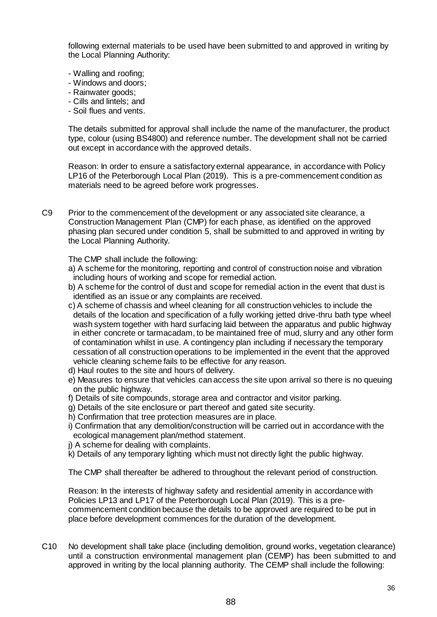following external materials to be used have been submitted to and approved in writing by the Local Planning Authority:

- Walling and roofing;
- Windows and doors;
- Rainwater goods;
- Cills and lintels; and
- Soil flues and vents.

The details submitted for approval shall include the name of the manufacturer, the product type, colour (using BS4800) and reference number. The development shall not be carried out except in accordance with the approved details.

Reason: In order to ensure a satisfactory external appearance, in accordance with Policy LP16 of the Peterborough Local Plan (2019). This is a pre-commencement condition as materials need to be agreed before work progresses.

C9 Prior to the commencement of the development or any associated site clearance, a Construction Management Plan (CMP) for each phase, as identified on the approved phasing plan secured under condition 5, shall be submitted to and approved in writing by the Local Planning Authority.

The CMP shall include the following:

- a) A scheme for the monitoring, reporting and control of construction noise and vibration including hours of working and scope for remedial action.
- b) A scheme for the control of dust and scope for remedial action in the event that dust is identified as an issue or any complaints are received.
- c) A scheme of chassis and wheel cleaning for all construction vehicles to include the details of the location and specification of a fully working jetted drive-thru bath type wheel wash system together with hard surfacing laid between the apparatus and public highway in either concrete or tarmacadam, to be maintained free of mud, slurry and any other form of contamination whilst in use. A contingency plan including if necessary the temporary cessation of all construction operations to be implemented in the event that the approved vehicle cleaning scheme fails to be effective for any reason.
- d) Haul routes to the site and hours of delivery.
- e) Measures to ensure that vehicles can access the site upon arrival so there is no queuing on the public highway.
- f) Details of site compounds, storage area and contractor and visitor parking.
- g) Details of the site enclosure or part thereof and gated site security.
- h) Confirmation that tree protection measures are in place.
- i) Confirmation that any demolition/construction will be carried out in accordance with the ecological management plan/method statement.
- j) A scheme for dealing with complaints.
- k) Details of any temporary lighting which must not directly light the public highway.

The CMP shall thereafter be adhered to throughout the relevant period of construction.

Reason: In the interests of highway safety and residential amenity in accordance with Policies LP13 and LP17 of the Peterborough Local Plan (2019). This is a precommencement condition because the details to be approved are required to be put in place before development commences for the duration of the development.

C10 No development shall take place (including demolition, ground works, vegetation clearance) until a construction environmental management plan (CEMP) has been submitted to and approved in writing by the local planning authority. The CEMP shall include the following: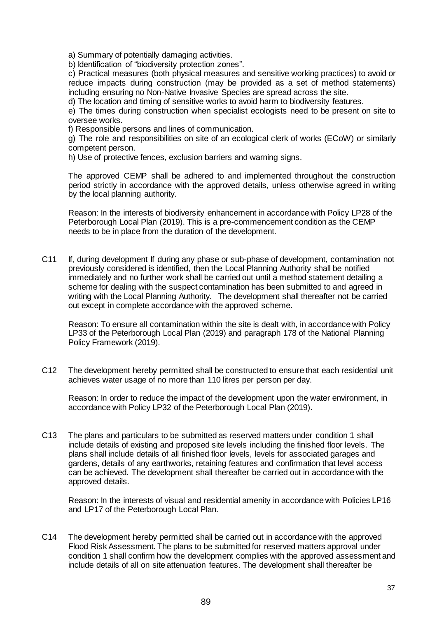a) Summary of potentially damaging activities.

b) Identification of "biodiversity protection zones".

c) Practical measures (both physical measures and sensitive working practices) to avoid or reduce impacts during construction (may be provided as a set of method statements) including ensuring no Non-Native Invasive Species are spread across the site.

d) The location and timing of sensitive works to avoid harm to biodiversity features.

e) The times during construction when specialist ecologists need to be present on site to oversee works.

f) Responsible persons and lines of communication.

g) The role and responsibilities on site of an ecological clerk of works (ECoW) or similarly competent person.

h) Use of protective fences, exclusion barriers and warning signs.

The approved CEMP shall be adhered to and implemented throughout the construction period strictly in accordance with the approved details, unless otherwise agreed in writing by the local planning authority.

Reason: In the interests of biodiversity enhancement in accordance with Policy LP28 of the Peterborough Local Plan (2019). This is a pre-commencement condition as the CEMP needs to be in place from the duration of the development.

C11 If, during development If during any phase or sub-phase of development, contamination not previously considered is identified, then the Local Planning Authority shall be notified immediately and no further work shall be carried out until a method statement detailing a scheme for dealing with the suspect contamination has been submitted to and agreed in writing with the Local Planning Authority. The development shall thereafter not be carried out except in complete accordance with the approved scheme.

Reason: To ensure all contamination within the site is dealt with, in accordance with Policy LP33 of the Peterborough Local Plan (2019) and paragraph 178 of the National Planning Policy Framework (2019).

C12 The development hereby permitted shall be constructed to ensure that each residential unit achieves water usage of no more than 110 litres per person per day.

Reason: In order to reduce the impact of the development upon the water environment, in accordance with Policy LP32 of the Peterborough Local Plan (2019).

C13 The plans and particulars to be submitted as reserved matters under condition 1 shall include details of existing and proposed site levels including the finished floor levels. The plans shall include details of all finished floor levels, levels for associated garages and gardens, details of any earthworks, retaining features and confirmation that level access can be achieved. The development shall thereafter be carried out in accordance with the approved details.

Reason: In the interests of visual and residential amenity in accordance with Policies LP16 and LP17 of the Peterborough Local Plan.

C14 The development hereby permitted shall be carried out in accordance with the approved Flood Risk Assessment. The plans to be submitted for reserved matters approval under condition 1 shall confirm how the development complies with the approved assessment and include details of all on site attenuation features. The development shall thereafter be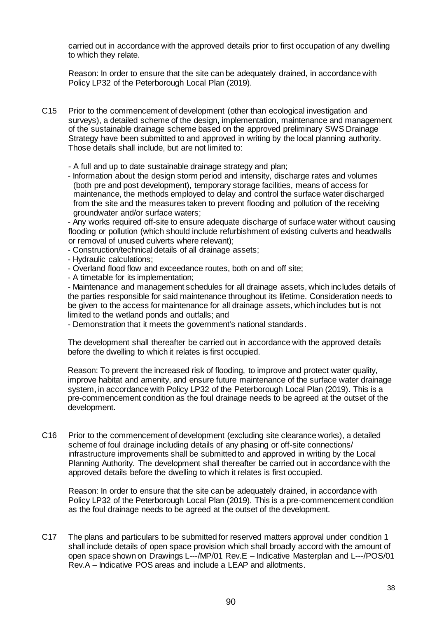carried out in accordance with the approved details prior to first occupation of any dwelling to which they relate.

Reason: In order to ensure that the site can be adequately drained, in accordance with Policy LP32 of the Peterborough Local Plan (2019).

- C15 Prior to the commencement of development (other than ecological investigation and surveys), a detailed scheme of the design, implementation, maintenance and management of the sustainable drainage scheme based on the approved preliminary SWS Drainage Strategy have been submitted to and approved in writing by the local planning authority. Those details shall include, but are not limited to:
	- A full and up to date sustainable drainage strategy and plan;
	- Information about the design storm period and intensity, discharge rates and volumes (both pre and post development), temporary storage facilities, means of access for maintenance, the methods employed to delay and control the surface water discharged from the site and the measures taken to prevent flooding and pollution of the receiving groundwater and/or surface waters;

- Any works required off-site to ensure adequate discharge of surface water without causing flooding or pollution (which should include refurbishment of existing culverts and headwalls or removal of unused culverts where relevant);

- Construction/technical details of all drainage assets;
- Hydraulic calculations;
- Overland flood flow and exceedance routes, both on and off site;
- A timetable for its implementation;

- Maintenance and management schedules for all drainage assets, which includes details of the parties responsible for said maintenance throughout its lifetime. Consideration needs to be given to the access for maintenance for all drainage assets, which includes but is not limited to the wetland ponds and outfalls; and

- Demonstration that it meets the government's national standards.

The development shall thereafter be carried out in accordance with the approved details before the dwelling to which it relates is first occupied.

Reason: To prevent the increased risk of flooding, to improve and protect water quality, improve habitat and amenity, and ensure future maintenance of the surface water drainage system, in accordance with Policy LP32 of the Peterborough Local Plan (2019). This is a pre-commencement condition as the foul drainage needs to be agreed at the outset of the development.

C16 Prior to the commencement of development (excluding site clearance works), a detailed scheme of foul drainage including details of any phasing or off-site connections/ infrastructure improvements shall be submitted to and approved in writing by the Local Planning Authority. The development shall thereafter be carried out in accordance with the approved details before the dwelling to which it relates is first occupied.

Reason: In order to ensure that the site can be adequately drained, in accordance with Policy LP32 of the Peterborough Local Plan (2019). This is a pre-commencement condition as the foul drainage needs to be agreed at the outset of the development.

C17 The plans and particulars to be submitted for reserved matters approval under condition 1 shall include details of open space provision which shall broadly accord with the amount of open space shown on Drawings L---/MP/01 Rev.E – Indicative Masterplan and L---/POS/01 Rev.A – Indicative POS areas and include a LEAP and allotments.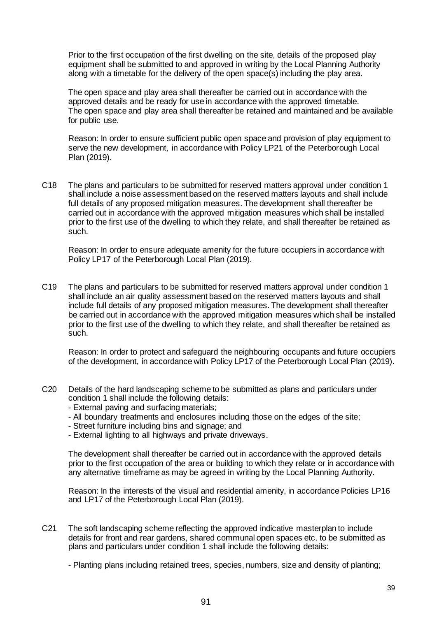Prior to the first occupation of the first dwelling on the site, details of the proposed play equipment shall be submitted to and approved in writing by the Local Planning Authority along with a timetable for the delivery of the open space(s) including the play area.

The open space and play area shall thereafter be carried out in accordance with the approved details and be ready for use in accordance with the approved timetable. The open space and play area shall thereafter be retained and maintained and be available for public use.

Reason: In order to ensure sufficient public open space and provision of play equipment to serve the new development, in accordance with Policy LP21 of the Peterborough Local Plan (2019).

C18 The plans and particulars to be submitted for reserved matters approval under condition 1 shall include a noise assessment based on the reserved matters layouts and shall include full details of any proposed mitigation measures. The development shall thereafter be carried out in accordance with the approved mitigation measures which shall be installed prior to the first use of the dwelling to which they relate, and shall thereafter be retained as such.

Reason: In order to ensure adequate amenity for the future occupiers in accordance with Policy LP17 of the Peterborough Local Plan (2019).

C19 The plans and particulars to be submitted for reserved matters approval under condition 1 shall include an air quality assessment based on the reserved matters layouts and shall include full details of any proposed mitigation measures. The development shall thereafter be carried out in accordance with the approved mitigation measures which shall be installed prior to the first use of the dwelling to which they relate, and shall thereafter be retained as such.

Reason: In order to protect and safeguard the neighbouring occupants and future occupiers of the development, in accordance with Policy LP17 of the Peterborough Local Plan (2019).

- C20 Details of the hard landscaping scheme to be submitted as plans and particulars under condition 1 shall include the following details:
	- External paving and surfacing materials;
	- All boundary treatments and enclosures including those on the edges of the site;
	- Street furniture including bins and signage; and
	- External lighting to all highways and private driveways.

The development shall thereafter be carried out in accordance with the approved details prior to the first occupation of the area or building to which they relate or in accordance with any alternative timeframe as may be agreed in writing by the Local Planning Authority.

Reason: In the interests of the visual and residential amenity, in accordance Policies LP16 and LP17 of the Peterborough Local Plan (2019).

C21 The soft landscaping scheme reflecting the approved indicative masterplan to include details for front and rear gardens, shared communal open spaces etc. to be submitted as plans and particulars under condition 1 shall include the following details:

- Planting plans including retained trees, species, numbers, size and density of planting;

39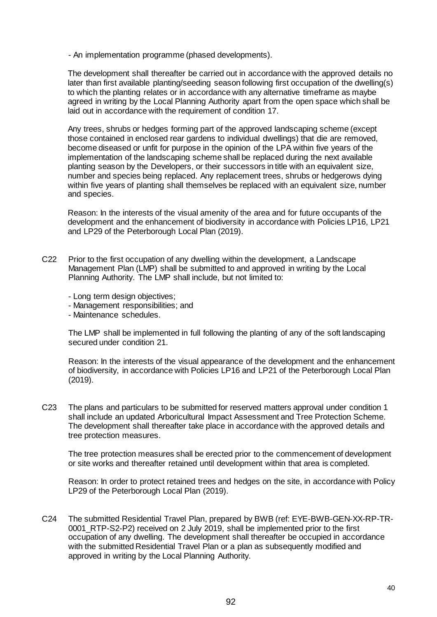- An implementation programme (phased developments).

The development shall thereafter be carried out in accordance with the approved details no later than first available planting/seeding season following first occupation of the dwelling(s) to which the planting relates or in accordance with any alternative timeframe as maybe agreed in writing by the Local Planning Authority apart from the open space which shall be laid out in accordance with the requirement of condition 17.

Any trees, shrubs or hedges forming part of the approved landscaping scheme (except those contained in enclosed rear gardens to individual dwellings) that die are removed, become diseased or unfit for purpose in the opinion of the LPA within five years of the implementation of the landscaping scheme shall be replaced during the next available planting season by the Developers, or their successors in title with an equivalent size, number and species being replaced. Any replacement trees, shrubs or hedgerows dying within five years of planting shall themselves be replaced with an equivalent size, number and species.

Reason: In the interests of the visual amenity of the area and for future occupants of the development and the enhancement of biodiversity in accordance with Policies LP16, LP21 and LP29 of the Peterborough Local Plan (2019).

C22 Prior to the first occupation of any dwelling within the development, a Landscape Management Plan (LMP) shall be submitted to and approved in writing by the Local Planning Authority. The LMP shall include, but not limited to:

- Long term design objectives;

- Management responsibilities; and
- Maintenance schedules.

The LMP shall be implemented in full following the planting of any of the soft landscaping secured under condition 21.

Reason: In the interests of the visual appearance of the development and the enhancement of biodiversity, in accordance with Policies LP16 and LP21 of the Peterborough Local Plan (2019).

C23 The plans and particulars to be submitted for reserved matters approval under condition 1 shall include an updated Arboricultural Impact Assessment and Tree Protection Scheme. The development shall thereafter take place in accordance with the approved details and tree protection measures.

The tree protection measures shall be erected prior to the commencement of development or site works and thereafter retained until development within that area is completed.

Reason: In order to protect retained trees and hedges on the site, in accordance with Policy LP29 of the Peterborough Local Plan (2019).

C24 The submitted Residential Travel Plan, prepared by BWB (ref: EYE-BWB-GEN-XX-RP-TR-0001 RTP-S2-P2) received on 2 July 2019, shall be implemented prior to the first occupation of any dwelling. The development shall thereafter be occupied in accordance with the submitted Residential Travel Plan or a plan as subsequently modified and approved in writing by the Local Planning Authority.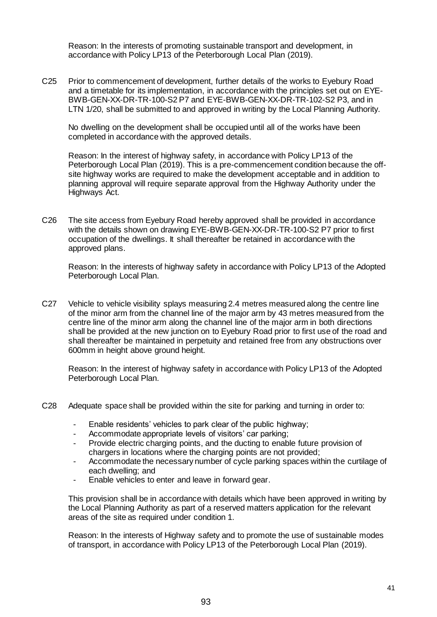Reason: In the interests of promoting sustainable transport and development, in accordance with Policy LP13 of the Peterborough Local Plan (2019).

C25 Prior to commencement of development, further details of the works to Eyebury Road and a timetable for its implementation, in accordance with the principles set out on EYE-BWB-GEN-XX-DR-TR-100-S2 P7 and EYE-BWB-GEN-XX-DR-TR-102-S2 P3, and in LTN 1/20, shall be submitted to and approved in writing by the Local Planning Authority.

No dwelling on the development shall be occupied until all of the works have been completed in accordance with the approved details.

Reason: In the interest of highway safety, in accordance with Policy LP13 of the Peterborough Local Plan (2019). This is a pre-commencement condition because the offsite highway works are required to make the development acceptable and in addition to planning approval will require separate approval from the Highway Authority under the Highways Act.

C26 The site access from Eyebury Road hereby approved shall be provided in accordance with the details shown on drawing EYE-BWB-GEN-XX-DR-TR-100-S2 P7 prior to first occupation of the dwellings. It shall thereafter be retained in accordance with the approved plans.

Reason: In the interests of highway safety in accordance with Policy LP13 of the Adopted Peterborough Local Plan.

C27 Vehicle to vehicle visibility splays measuring 2.4 metres measured along the centre line of the minor arm from the channel line of the major arm by 43 metres measured from the centre line of the minor arm along the channel line of the major arm in both directions shall be provided at the new junction on to Eyebury Road prior to first use of the road and shall thereafter be maintained in perpetuity and retained free from any obstructions over 600mm in height above ground height.

Reason: In the interest of highway safety in accordance with Policy LP13 of the Adopted Peterborough Local Plan.

- C28 Adequate space shall be provided within the site for parking and turning in order to:
	- Enable residents' vehicles to park clear of the public highway;
	- Accommodate appropriate levels of visitors' car parking;
	- Provide electric charging points, and the ducting to enable future provision of chargers in locations where the charging points are not provided;
	- Accommodate the necessary number of cycle parking spaces within the curtilage of each dwelling; and
	- Enable vehicles to enter and leave in forward gear.

This provision shall be in accordance with details which have been approved in writing by the Local Planning Authority as part of a reserved matters application for the relevant areas of the site as required under condition 1.

Reason: In the interests of Highway safety and to promote the use of sustainable modes of transport, in accordance with Policy LP13 of the Peterborough Local Plan (2019).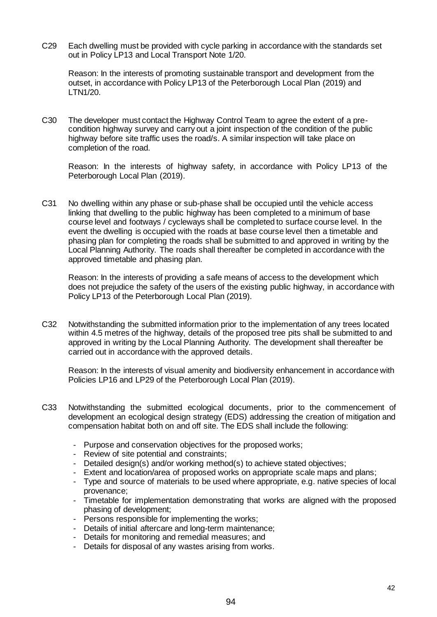C29 Each dwelling must be provided with cycle parking in accordance with the standards set out in Policy LP13 and Local Transport Note 1/20.

Reason: In the interests of promoting sustainable transport and development from the outset, in accordance with Policy LP13 of the Peterborough Local Plan (2019) and LTN1/20.

C30 The developer must contact the Highway Control Team to agree the extent of a precondition highway survey and carry out a joint inspection of the condition of the public highway before site traffic uses the road/s. A similar inspection will take place on completion of the road.

Reason: In the interests of highway safety, in accordance with Policy LP13 of the Peterborough Local Plan (2019).

C31 No dwelling within any phase or sub-phase shall be occupied until the vehicle access linking that dwelling to the public highway has been completed to a minimum of base course level and footways / cycleways shall be completed to surface course level. In the event the dwelling is occupied with the roads at base course level then a timetable and phasing plan for completing the roads shall be submitted to and approved in writing by the Local Planning Authority. The roads shall thereafter be completed in accordance with the approved timetable and phasing plan.

Reason: In the interests of providing a safe means of access to the development which does not prejudice the safety of the users of the existing public highway, in accordance with Policy LP13 of the Peterborough Local Plan (2019).

C32 Notwithstanding the submitted information prior to the implementation of any trees located within 4.5 metres of the highway, details of the proposed tree pits shall be submitted to and approved in writing by the Local Planning Authority. The development shall thereafter be carried out in accordance with the approved details.

Reason: In the interests of visual amenity and biodiversity enhancement in accordance with Policies LP16 and LP29 of the Peterborough Local Plan (2019).

- C33 Notwithstanding the submitted ecological documents, prior to the commencement of development an ecological design strategy (EDS) addressing the creation of mitigation and compensation habitat both on and off site. The EDS shall include the following:
	- Purpose and conservation objectives for the proposed works;
	- Review of site potential and constraints;
	- Detailed design(s) and/or working method(s) to achieve stated objectives;
	- Extent and location/area of proposed works on appropriate scale maps and plans;
	- Type and source of materials to be used where appropriate, e.g. native species of local provenance;
	- Timetable for implementation demonstrating that works are aligned with the proposed phasing of development;
	- Persons responsible for implementing the works;
	- Details of initial aftercare and long-term maintenance;
	- Details for monitoring and remedial measures; and
	- Details for disposal of any wastes arising from works.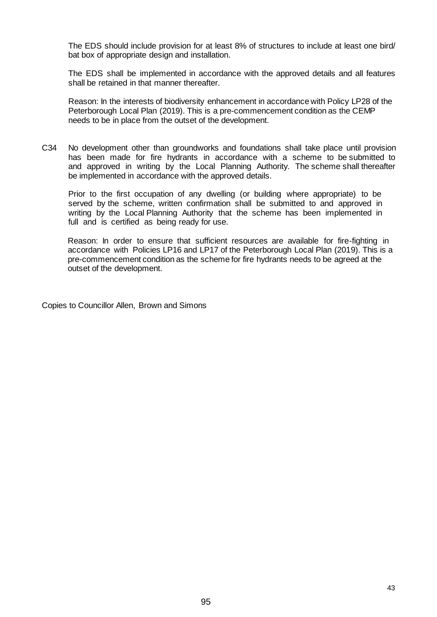The EDS should include provision for at least 8% of structures to include at least one bird/ bat box of appropriate design and installation.

The EDS shall be implemented in accordance with the approved details and all features shall be retained in that manner thereafter.

Reason: In the interests of biodiversity enhancement in accordance with Policy LP28 of the Peterborough Local Plan (2019). This is a pre-commencement condition as the CEMP needs to be in place from the outset of the development.

C34 No development other than groundworks and foundations shall take place until provision has been made for fire hydrants in accordance with a scheme to be submitted to and approved in writing by the Local Planning Authority. The scheme shall thereafter be implemented in accordance with the approved details.

Prior to the first occupation of any dwelling (or building where appropriate) to be served by the scheme, written confirmation shall be submitted to and approved in writing by the Local Planning Authority that the scheme has been implemented in full and is certified as being ready for use.

Reason: In order to ensure that sufficient resources are available for fire-fighting in accordance with Policies LP16 and LP17 of the Peterborough Local Plan (2019). This is a pre-commencement condition as the scheme for fire hydrants needs to be agreed at the outset of the development.

Copies to Councillor Allen, Brown and Simons